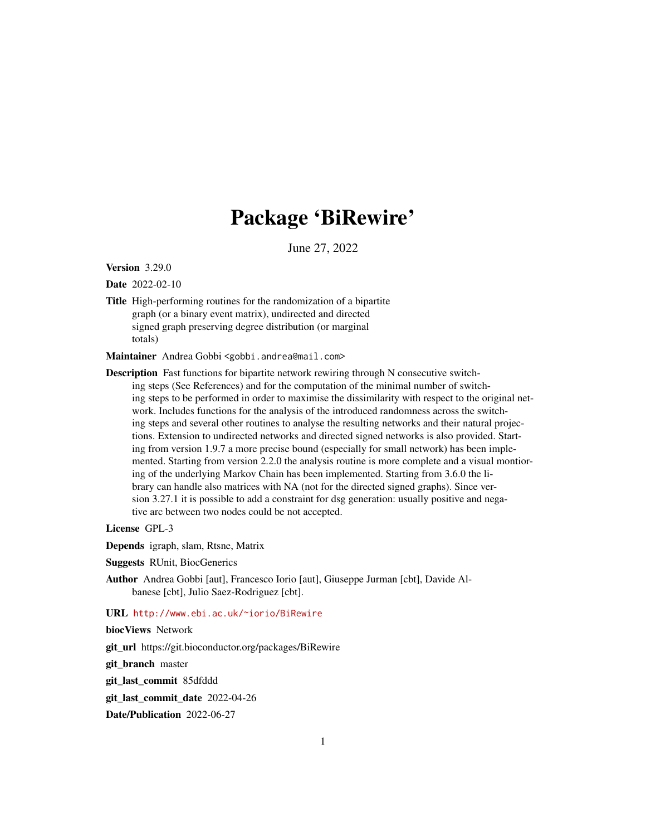# Package 'BiRewire'

June 27, 2022

<span id="page-0-0"></span>Version 3.29.0

Date 2022-02-10

Title High-performing routines for the randomization of a bipartite graph (or a binary event matrix), undirected and directed signed graph preserving degree distribution (or marginal totals)

Maintainer Andrea Gobbi <gobbi.andrea@mail.com>

Description Fast functions for bipartite network rewiring through N consecutive switching steps (See References) and for the computation of the minimal number of switching steps to be performed in order to maximise the dissimilarity with respect to the original network. Includes functions for the analysis of the introduced randomness across the switching steps and several other routines to analyse the resulting networks and their natural projections. Extension to undirected networks and directed signed networks is also provided. Starting from version 1.9.7 a more precise bound (especially for small network) has been implemented. Starting from version 2.2.0 the analysis routine is more complete and a visual montioring of the underlying Markov Chain has been implemented. Starting from 3.6.0 the library can handle also matrices with NA (not for the directed signed graphs). Since version 3.27.1 it is possible to add a constraint for dsg generation: usually positive and negative arc between two nodes could be not accepted.

License GPL-3

Depends igraph, slam, Rtsne, Matrix

- Suggests RUnit, BiocGenerics
- Author Andrea Gobbi [aut], Francesco Iorio [aut], Giuseppe Jurman [cbt], Davide Albanese [cbt], Julio Saez-Rodriguez [cbt].

# URL <http://www.ebi.ac.uk/~iorio/BiRewire>

biocViews Network

git\_url https://git.bioconductor.org/packages/BiRewire

git branch master

git\_last\_commit 85dfddd

git\_last\_commit\_date 2022-04-26

Date/Publication 2022-06-27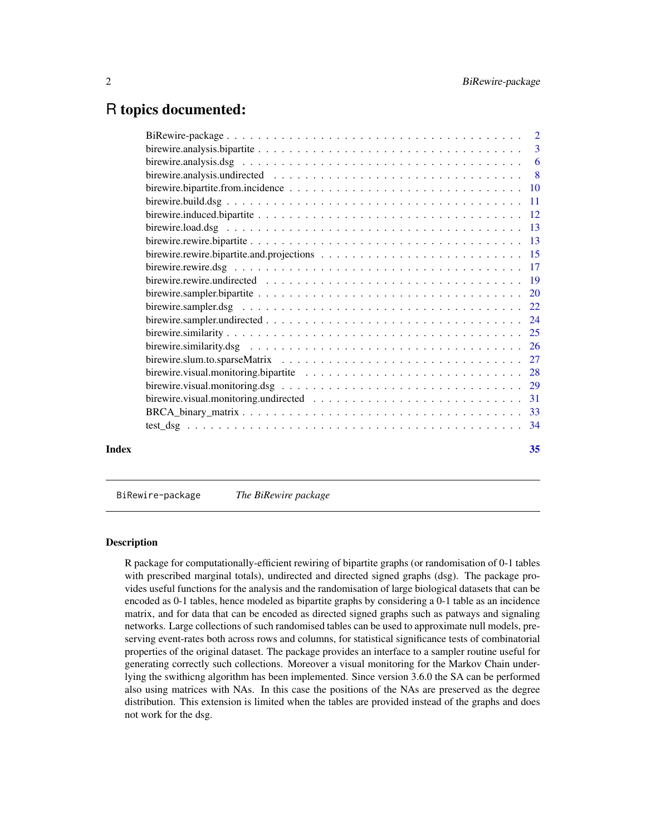# <span id="page-1-0"></span>R topics documented:

| Index | 35 |
|-------|----|
|       |    |

BiRewire-package *The BiRewire package*

#### Description

R package for computationally-efficient rewiring of bipartite graphs (or randomisation of 0-1 tables with prescribed marginal totals), undirected and directed signed graphs (dsg). The package provides useful functions for the analysis and the randomisation of large biological datasets that can be encoded as 0-1 tables, hence modeled as bipartite graphs by considering a 0-1 table as an incidence matrix, and for data that can be encoded as directed signed graphs such as patways and signaling networks. Large collections of such randomised tables can be used to approximate null models, preserving event-rates both across rows and columns, for statistical significance tests of combinatorial properties of the original dataset. The package provides an interface to a sampler routine useful for generating correctly such collections. Moreover a visual monitoring for the Markov Chain underlying the swithicng algorithm has been implemented. Since version 3.6.0 the SA can be performed also using matrices with NAs. In this case the positions of the NAs are preserved as the degree distribution. This extension is limited when the tables are provided instead of the graphs and does not work for the dsg.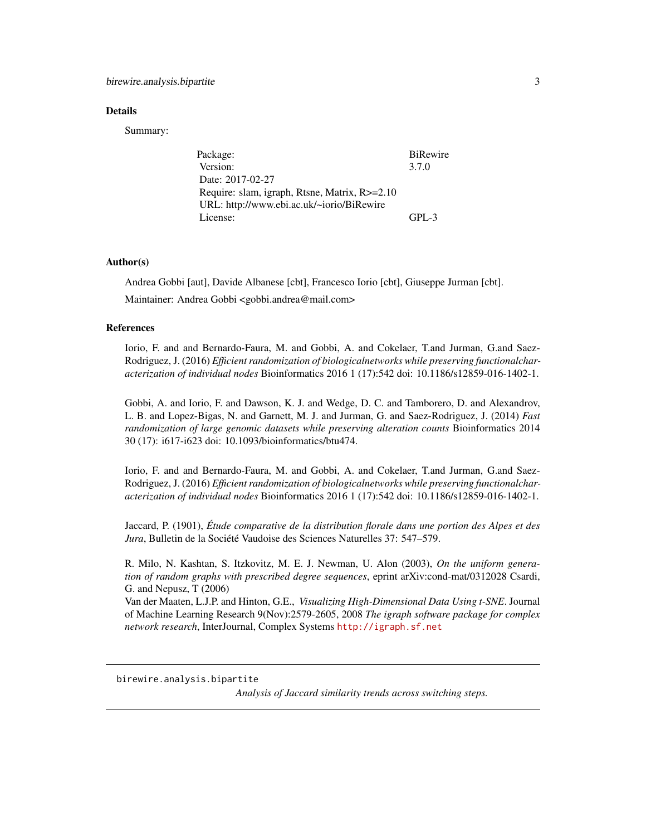#### <span id="page-2-0"></span>Details

Summary:

| Package:                                      | BiRewire  |
|-----------------------------------------------|-----------|
| Version:                                      | 3.7.0     |
| Date: 2017-02-27                              |           |
| Require: slam, igraph, Rtsne, Matrix, R>=2.10 |           |
| URL: http://www.ebi.ac.uk/~iorio/BiRewire     |           |
| License:                                      | $GPI - 3$ |

#### Author(s)

Andrea Gobbi [aut], Davide Albanese [cbt], Francesco Iorio [cbt], Giuseppe Jurman [cbt]. Maintainer: Andrea Gobbi <gobbi.andrea@mail.com>

#### References

Iorio, F. and and Bernardo-Faura, M. and Gobbi, A. and Cokelaer, T.and Jurman, G.and Saez-Rodriguez, J. (2016) *Efficient randomization of biologicalnetworks while preserving functionalcharacterization of individual nodes* Bioinformatics 2016 1 (17):542 doi: 10.1186/s12859-016-1402-1.

Gobbi, A. and Iorio, F. and Dawson, K. J. and Wedge, D. C. and Tamborero, D. and Alexandrov, L. B. and Lopez-Bigas, N. and Garnett, M. J. and Jurman, G. and Saez-Rodriguez, J. (2014) *Fast randomization of large genomic datasets while preserving alteration counts* Bioinformatics 2014 30 (17): i617-i623 doi: 10.1093/bioinformatics/btu474.

Iorio, F. and and Bernardo-Faura, M. and Gobbi, A. and Cokelaer, T.and Jurman, G.and Saez-Rodriguez, J. (2016) *Efficient randomization of biologicalnetworks while preserving functionalcharacterization of individual nodes* Bioinformatics 2016 1 (17):542 doi: 10.1186/s12859-016-1402-1.

Jaccard, P. (1901), *Étude comparative de la distribution florale dans une portion des Alpes et des Jura*, Bulletin de la Société Vaudoise des Sciences Naturelles 37: 547–579.

R. Milo, N. Kashtan, S. Itzkovitz, M. E. J. Newman, U. Alon (2003), *On the uniform generation of random graphs with prescribed degree sequences*, eprint arXiv:cond-mat/0312028 Csardi, G. and Nepusz, T (2006)

Van der Maaten, L.J.P. and Hinton, G.E., *Visualizing High-Dimensional Data Using t-SNE*. Journal of Machine Learning Research 9(Nov):2579-2605, 2008 *The igraph software package for complex network research*, InterJournal, Complex Systems <http://igraph.sf.net>

<span id="page-2-1"></span>birewire.analysis.bipartite

*Analysis of Jaccard similarity trends across switching steps.*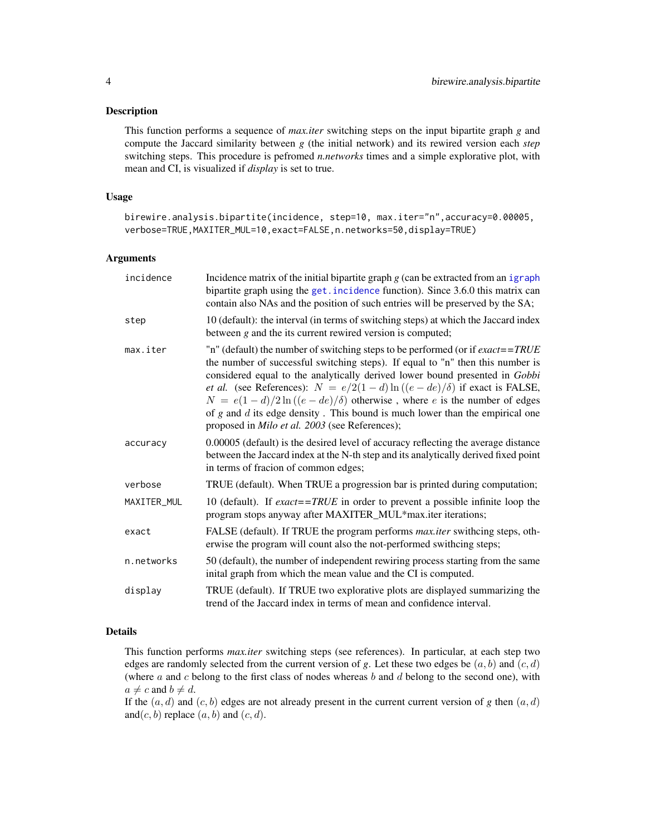#### <span id="page-3-0"></span>Description

This function performs a sequence of *max.iter* switching steps on the input bipartite graph *g* and compute the Jaccard similarity between *g* (the initial network) and its rewired version each *step* switching steps. This procedure is pefromed *n.networks* times and a simple explorative plot, with mean and CI, is visualized if *display* is set to true.

# Usage

```
birewire.analysis.bipartite(incidence, step=10, max.iter="n",accuracy=0.00005,
verbose=TRUE,MAXITER_MUL=10,exact=FALSE,n.networks=50,display=TRUE)
```
# Arguments

| incidence   | Incidence matrix of the initial bipartite graph $g$ (can be extracted from an igraph<br>bipartite graph using the get. incidence function). Since 3.6.0 this matrix can<br>contain also NAs and the position of such entries will be preserved by the SA;                                                                                                                                                                                                                                                                                                     |
|-------------|---------------------------------------------------------------------------------------------------------------------------------------------------------------------------------------------------------------------------------------------------------------------------------------------------------------------------------------------------------------------------------------------------------------------------------------------------------------------------------------------------------------------------------------------------------------|
| step        | 10 (default): the interval (in terms of switching steps) at which the Jaccard index<br>between $g$ and the its current rewired version is computed;                                                                                                                                                                                                                                                                                                                                                                                                           |
| max.iter    | "n" (default) the number of switching steps to be performed (or if $exact = TRUE$<br>the number of successful switching steps). If equal to "n" then this number is<br>considered equal to the analytically derived lower bound presented in Gobbi<br><i>et al.</i> (see References): $N = e/2(1-d)\ln((e-de)/\delta)$ if exact is FALSE,<br>$N = e(1-d)/2\ln((e-de)/\delta)$ otherwise, where e is the number of edges<br>of $g$ and $d$ its edge density. This bound is much lower than the empirical one<br>proposed in Milo et al. 2003 (see References); |
| accuracy    | 0.00005 (default) is the desired level of accuracy reflecting the average distance<br>between the Jaccard index at the N-th step and its analytically derived fixed point<br>in terms of fracion of common edges;                                                                                                                                                                                                                                                                                                                                             |
| verbose     | TRUE (default). When TRUE a progression bar is printed during computation;                                                                                                                                                                                                                                                                                                                                                                                                                                                                                    |
| MAXITER_MUL | 10 (default). If $\textit{exact} = \textit{TRUE}$ in order to prevent a possible infinite loop the<br>program stops anyway after MAXITER_MUL*max.iter iterations;                                                                                                                                                                                                                                                                                                                                                                                             |
| exact       | FALSE (default). If TRUE the program performs <i>max.iter</i> swithcing steps, oth-<br>erwise the program will count also the not-performed swithcing steps;                                                                                                                                                                                                                                                                                                                                                                                                  |
| n.networks  | 50 (default), the number of independent rewiring process starting from the same<br>inital graph from which the mean value and the CI is computed.                                                                                                                                                                                                                                                                                                                                                                                                             |
| display     | TRUE (default). If TRUE two explorative plots are displayed summarizing the<br>trend of the Jaccard index in terms of mean and confidence interval.                                                                                                                                                                                                                                                                                                                                                                                                           |

# Details

This function performs *max.iter* switching steps (see references). In particular, at each step two edges are randomly selected from the current version of *g*. Let these two edges be  $(a, b)$  and  $(c, d)$ (where  $a$  and  $c$  belong to the first class of nodes whereas  $b$  and  $d$  belong to the second one), with  $a \neq c$  and  $b \neq d$ .

If the  $(a, d)$  and  $(c, b)$  edges are not already present in the current current version of *g* then  $(a, d)$ and $(c, b)$  replace  $(a, b)$  and  $(c, d)$ .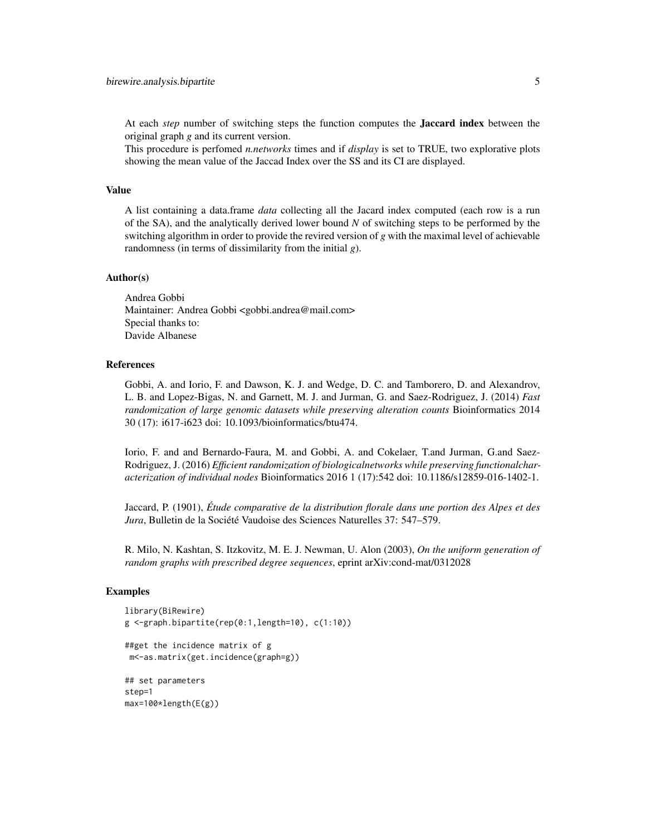At each *step* number of switching steps the function computes the Jaccard index between the original graph *g* and its current version.

This procedure is perfomed *n.networks* times and if *display* is set to TRUE, two explorative plots showing the mean value of the Jaccad Index over the SS and its CI are displayed.

# Value

A list containing a data.frame *data* collecting all the Jacard index computed (each row is a run of the SA), and the analytically derived lower bound *N* of switching steps to be performed by the switching algorithm in order to provide the revired version of *g* with the maximal level of achievable randomness (in terms of dissimilarity from the initial *g*).

#### Author(s)

Andrea Gobbi Maintainer: Andrea Gobbi <gobbi.andrea@mail.com> Special thanks to: Davide Albanese

#### References

Gobbi, A. and Iorio, F. and Dawson, K. J. and Wedge, D. C. and Tamborero, D. and Alexandrov, L. B. and Lopez-Bigas, N. and Garnett, M. J. and Jurman, G. and Saez-Rodriguez, J. (2014) *Fast randomization of large genomic datasets while preserving alteration counts* Bioinformatics 2014 30 (17): i617-i623 doi: 10.1093/bioinformatics/btu474.

Iorio, F. and and Bernardo-Faura, M. and Gobbi, A. and Cokelaer, T.and Jurman, G.and Saez-Rodriguez, J. (2016) *Efficient randomization of biologicalnetworks while preserving functionalcharacterization of individual nodes* Bioinformatics 2016 1 (17):542 doi: 10.1186/s12859-016-1402-1.

Jaccard, P. (1901), *Étude comparative de la distribution florale dans une portion des Alpes et des Jura*, Bulletin de la Société Vaudoise des Sciences Naturelles 37: 547–579.

R. Milo, N. Kashtan, S. Itzkovitz, M. E. J. Newman, U. Alon (2003), *On the uniform generation of random graphs with prescribed degree sequences*, eprint arXiv:cond-mat/0312028

#### Examples

```
library(BiRewire)
g <-graph.bipartite(rep(0:1,length=10), c(1:10))
##get the incidence matrix of g
m<-as.matrix(get.incidence(graph=g))
## set parameters
step=1
max=100*length(E(g))
```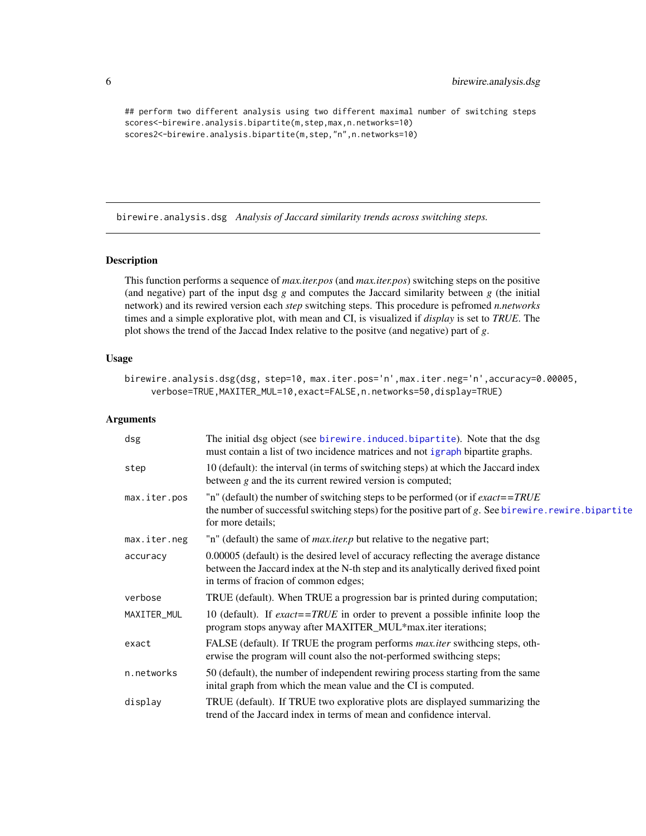```
## perform two different analysis using two different maximal number of switching steps
scores<-birewire.analysis.bipartite(m,step,max,n.networks=10)
scores2<-birewire.analysis.bipartite(m,step,"n",n.networks=10)
```
birewire.analysis.dsg *Analysis of Jaccard similarity trends across switching steps.*

# Description

This function performs a sequence of *max.iter.pos* (and *max.iter.pos*) switching steps on the positive (and negative) part of the input dsg  $g$  and computes the Jaccard similarity between  $g$  (the initial network) and its rewired version each *step* switching steps. This procedure is pefromed *n.networks* times and a simple explorative plot, with mean and CI, is visualized if *display* is set to *TRUE*. The plot shows the trend of the Jaccad Index relative to the positve (and negative) part of *g*.

# Usage

```
birewire.analysis.dsg(dsg, step=10, max.iter.pos='n',max.iter.neg='n',accuracy=0.00005,
     verbose=TRUE,MAXITER_MUL=10,exact=FALSE,n.networks=50,display=TRUE)
```
#### Arguments

| dsg          | The initial dsg object (see birewire.induced.bipartite). Note that the dsg<br>must contain a list of two incidence matrices and not igraph bipartite graphs.                                                       |
|--------------|--------------------------------------------------------------------------------------------------------------------------------------------------------------------------------------------------------------------|
| step         | 10 (default): the interval (in terms of switching steps) at which the Jaccard index<br>between $g$ and the its current rewired version is computed;                                                                |
| max.iter.pos | "n" (default) the number of switching steps to be performed (or if $exact = TRUE$<br>the number of successful switching steps) for the positive part of $g$ . See birewire. rewire. bipartite<br>for more details; |
| max.iter.neg | "n" (default) the same of <i>max.iter.p</i> but relative to the negative part;                                                                                                                                     |
| accuracy     | 0.00005 (default) is the desired level of accuracy reflecting the average distance<br>between the Jaccard index at the N-th step and its analytically derived fixed point<br>in terms of fracion of common edges;  |
| verbose      | TRUE (default). When TRUE a progression bar is printed during computation;                                                                                                                                         |
| MAXITER_MUL  | 10 (default). If <i>exact</i> == <i>TRUE</i> in order to prevent a possible infinite loop the<br>program stops anyway after MAXITER_MUL*max.iter iterations;                                                       |
| exact        | FALSE (default). If TRUE the program performs <i>max.iter</i> swithcing steps, oth-<br>erwise the program will count also the not-performed swithcing steps;                                                       |
| n.networks   | 50 (default), the number of independent rewiring process starting from the same<br>inital graph from which the mean value and the CI is computed.                                                                  |
| display      | TRUE (default). If TRUE two explorative plots are displayed summarizing the<br>trend of the Jaccard index in terms of mean and confidence interval.                                                                |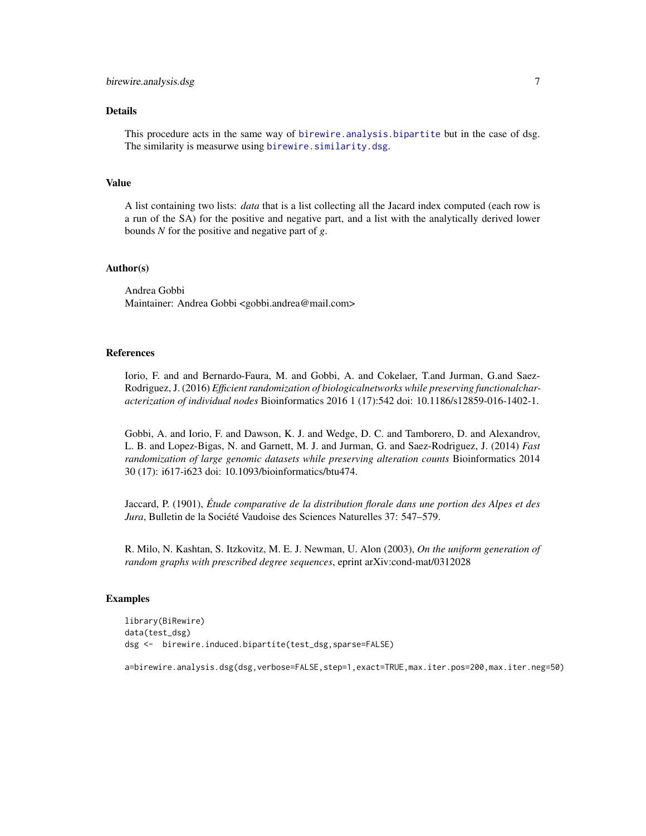#### <span id="page-6-0"></span>Details

This procedure acts in the same way of [birewire.analysis.bipartite](#page-2-1) but in the case of dsg. The similarity is measurwe using [birewire.similarity.dsg](#page-25-1).

#### Value

A list containing two lists: *data* that is a list collecting all the Jacard index computed (each row is a run of the SA) for the positive and negative part, and a list with the analytically derived lower bounds *N* for the positive and negative part of *g*.

# Author(s)

Andrea Gobbi Maintainer: Andrea Gobbi <gobbi.andrea@mail.com>

#### References

Iorio, F. and and Bernardo-Faura, M. and Gobbi, A. and Cokelaer, T.and Jurman, G.and Saez-Rodriguez, J. (2016) *Efficient randomization of biologicalnetworks while preserving functionalcharacterization of individual nodes* Bioinformatics 2016 1 (17):542 doi: 10.1186/s12859-016-1402-1.

Gobbi, A. and Iorio, F. and Dawson, K. J. and Wedge, D. C. and Tamborero, D. and Alexandrov, L. B. and Lopez-Bigas, N. and Garnett, M. J. and Jurman, G. and Saez-Rodriguez, J. (2014) *Fast randomization of large genomic datasets while preserving alteration counts* Bioinformatics 2014 30 (17): i617-i623 doi: 10.1093/bioinformatics/btu474.

Jaccard, P. (1901), *Étude comparative de la distribution florale dans une portion des Alpes et des Jura*, Bulletin de la Société Vaudoise des Sciences Naturelles 37: 547–579.

R. Milo, N. Kashtan, S. Itzkovitz, M. E. J. Newman, U. Alon (2003), *On the uniform generation of random graphs with prescribed degree sequences*, eprint arXiv:cond-mat/0312028

#### Examples

```
library(BiRewire)
data(test_dsg)
dsg <- birewire.induced.bipartite(test_dsg,sparse=FALSE)
```
a=birewire.analysis.dsg(dsg,verbose=FALSE,step=1,exact=TRUE,max.iter.pos=200,max.iter.neg=50)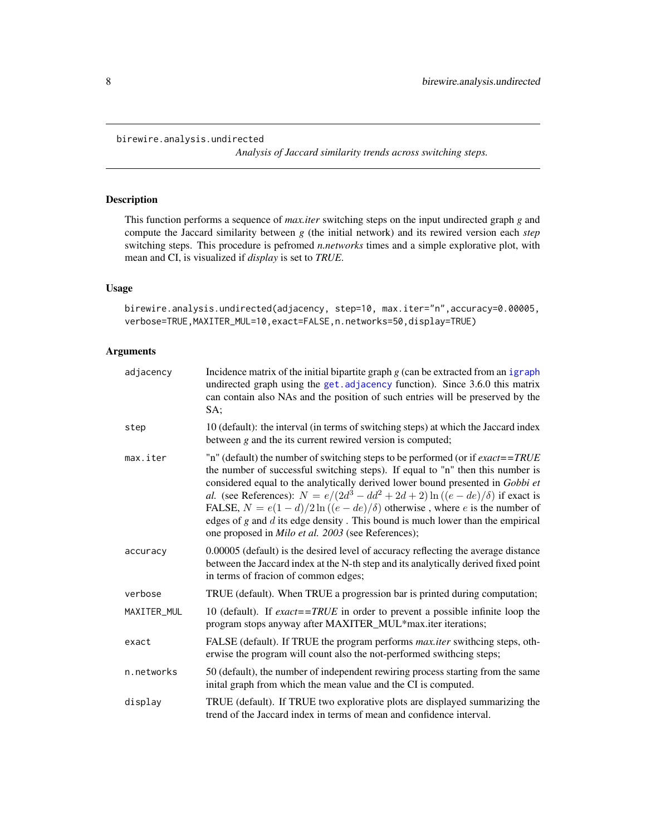```
birewire.analysis.undirected
```
*Analysis of Jaccard similarity trends across switching steps.*

# Description

This function performs a sequence of *max.iter* switching steps on the input undirected graph *g* and compute the Jaccard similarity between *g* (the initial network) and its rewired version each *step* switching steps. This procedure is pefromed *n.networks* times and a simple explorative plot, with mean and CI, is visualized if *display* is set to *TRUE*.

# Usage

```
birewire.analysis.undirected(adjacency, step=10, max.iter="n",accuracy=0.00005,
verbose=TRUE,MAXITER_MUL=10,exact=FALSE,n.networks=50,display=TRUE)
```
# Arguments

| adjacency   | Incidence matrix of the initial bipartite graph $g$ (can be extracted from an igraph<br>undirected graph using the get. adjacency function). Since 3.6.0 this matrix<br>can contain also NAs and the position of such entries will be preserved by the<br>SA;                                                                                                                                                                                                                                                                                                                                           |
|-------------|---------------------------------------------------------------------------------------------------------------------------------------------------------------------------------------------------------------------------------------------------------------------------------------------------------------------------------------------------------------------------------------------------------------------------------------------------------------------------------------------------------------------------------------------------------------------------------------------------------|
| step        | 10 (default): the interval (in terms of switching steps) at which the Jaccard index<br>between $g$ and the its current rewired version is computed;                                                                                                                                                                                                                                                                                                                                                                                                                                                     |
| max.iter    | "n" (default) the number of switching steps to be performed (or if $\textit{exact} = \textit{TRUE}$<br>the number of successful switching steps). If equal to "n" then this number is<br>considered equal to the analytically derived lower bound presented in Gobbi et<br>al. (see References): $N = e/(2d^3 - dd^2 + 2d + 2) \ln((e - de)/\delta)$ if exact is<br>FALSE, $N = e(1 - d)/2 \ln((e - de)/\delta)$ otherwise, where e is the number of<br>edges of $g$ and $d$ its edge density. This bound is much lower than the empirical<br>one proposed in <i>Milo et al.</i> 2003 (see References); |
| accuracy    | 0.00005 (default) is the desired level of accuracy reflecting the average distance<br>between the Jaccard index at the N-th step and its analytically derived fixed point<br>in terms of fracion of common edges;                                                                                                                                                                                                                                                                                                                                                                                       |
| verbose     | TRUE (default). When TRUE a progression bar is printed during computation;                                                                                                                                                                                                                                                                                                                                                                                                                                                                                                                              |
| MAXITER_MUL | 10 (default). If $\text{exact} = \text{TRUE}$ in order to prevent a possible infinite loop the<br>program stops anyway after MAXITER_MUL*max.iter iterations;                                                                                                                                                                                                                                                                                                                                                                                                                                           |
| exact       | FALSE (default). If TRUE the program performs <i>max.iter</i> swithcing steps, oth-<br>erwise the program will count also the not-performed swithcing steps;                                                                                                                                                                                                                                                                                                                                                                                                                                            |
| n.networks  | 50 (default), the number of independent rewiring process starting from the same<br>inital graph from which the mean value and the CI is computed.                                                                                                                                                                                                                                                                                                                                                                                                                                                       |
| display     | TRUE (default). If TRUE two explorative plots are displayed summarizing the<br>trend of the Jaccard index in terms of mean and confidence interval.                                                                                                                                                                                                                                                                                                                                                                                                                                                     |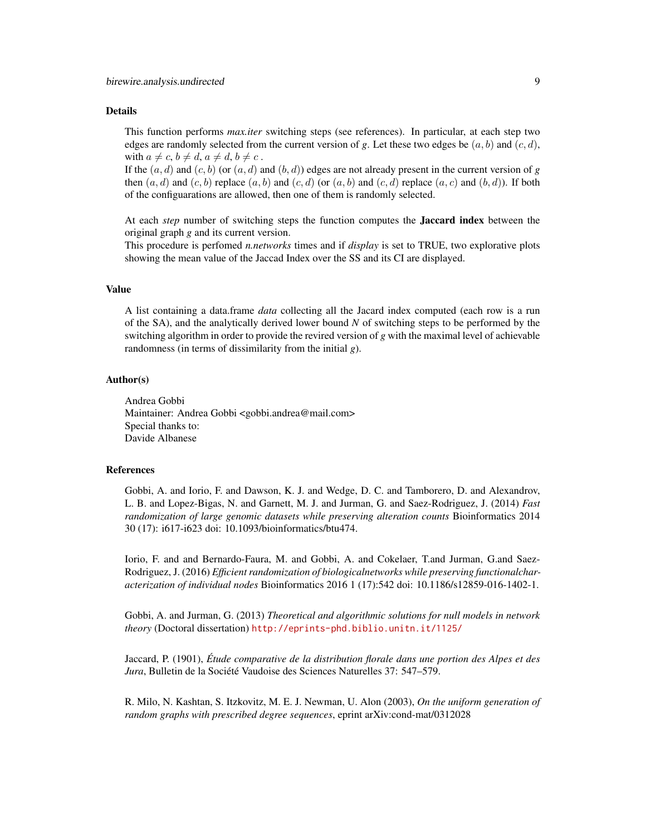#### Details

This function performs *max.iter* switching steps (see references). In particular, at each step two edges are randomly selected from the current version of g. Let these two edges be  $(a, b)$  and  $(c, d)$ , with  $a \neq c$ ,  $b \neq d$ ,  $a \neq d$ ,  $b \neq c$ .

If the  $(a, d)$  and  $(c, b)$  (or  $(a, d)$  and  $(b, d)$ ) edges are not already present in the current version of *g* then  $(a, d)$  and  $(c, b)$  replace  $(a, b)$  and  $(c, d)$  (or  $(a, b)$  and  $(c, d)$  replace  $(a, c)$  and  $(b, d)$ ). If both of the configuarations are allowed, then one of them is randomly selected.

At each *step* number of switching steps the function computes the Jaccard index between the original graph *g* and its current version.

This procedure is perfomed *n.networks* times and if *display* is set to TRUE, two explorative plots showing the mean value of the Jaccad Index over the SS and its CI are displayed.

#### Value

A list containing a data.frame *data* collecting all the Jacard index computed (each row is a run of the SA), and the analytically derived lower bound *N* of switching steps to be performed by the switching algorithm in order to provide the revired version of *g* with the maximal level of achievable randomness (in terms of dissimilarity from the initial *g*).

#### Author(s)

Andrea Gobbi Maintainer: Andrea Gobbi <gobbi.andrea@mail.com> Special thanks to: Davide Albanese

# References

Gobbi, A. and Iorio, F. and Dawson, K. J. and Wedge, D. C. and Tamborero, D. and Alexandrov, L. B. and Lopez-Bigas, N. and Garnett, M. J. and Jurman, G. and Saez-Rodriguez, J. (2014) *Fast randomization of large genomic datasets while preserving alteration counts* Bioinformatics 2014 30 (17): i617-i623 doi: 10.1093/bioinformatics/btu474.

Iorio, F. and and Bernardo-Faura, M. and Gobbi, A. and Cokelaer, T.and Jurman, G.and Saez-Rodriguez, J. (2016) *Efficient randomization of biologicalnetworks while preserving functionalcharacterization of individual nodes* Bioinformatics 2016 1 (17):542 doi: 10.1186/s12859-016-1402-1.

Gobbi, A. and Jurman, G. (2013) *Theoretical and algorithmic solutions for null models in network theory* (Doctoral dissertation) <http://eprints-phd.biblio.unitn.it/1125/>

Jaccard, P. (1901), *Étude comparative de la distribution florale dans une portion des Alpes et des Jura*, Bulletin de la Société Vaudoise des Sciences Naturelles 37: 547–579.

R. Milo, N. Kashtan, S. Itzkovitz, M. E. J. Newman, U. Alon (2003), *On the uniform generation of random graphs with prescribed degree sequences*, eprint arXiv:cond-mat/0312028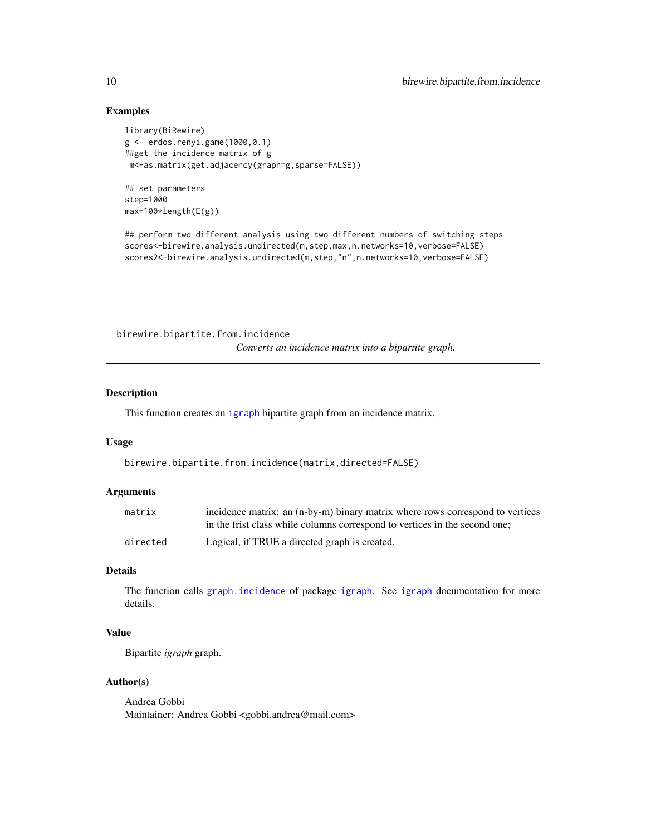# Examples

```
library(BiRewire)
g <- erdos.renyi.game(1000,0.1)
##get the incidence matrix of g
m<-as.matrix(get.adjacency(graph=g,sparse=FALSE))
```
## set parameters step=1000 max=100\*length(E(g))

```
## perform two different analysis using two different numbers of switching steps
scores<-birewire.analysis.undirected(m,step,max,n.networks=10,verbose=FALSE)
scores2<-birewire.analysis.undirected(m,step,"n",n.networks=10,verbose=FALSE)
```
birewire.bipartite.from.incidence *Converts an incidence matrix into a bipartite graph.*

#### Description

This function creates an [igraph](#page-0-0) bipartite graph from an incidence matrix.

#### Usage

```
birewire.bipartite.from.incidence(matrix,directed=FALSE)
```
#### Arguments

| matrix   | incidence matrix: an (n-by-m) binary matrix where rows correspond to vertices<br>in the frist class while columns correspond to vertices in the second one: |
|----------|-------------------------------------------------------------------------------------------------------------------------------------------------------------|
| directed | Logical, if TRUE a directed graph is created.                                                                                                               |

# Details

The function calls [graph.incidence](#page-0-0) of package [igraph](#page-0-0). See [igraph](#page-0-0) documentation for more details.

# Value

Bipartite *igraph* graph.

#### Author(s)

Andrea Gobbi Maintainer: Andrea Gobbi <gobbi.andrea@mail.com>

<span id="page-9-0"></span>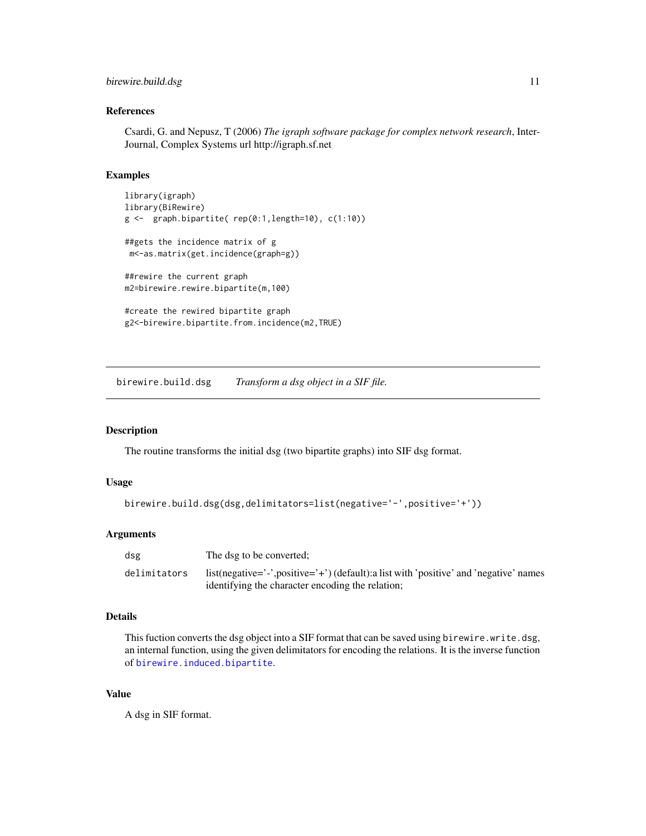# <span id="page-10-0"></span>birewire.build.dsg 11

#### References

Csardi, G. and Nepusz, T (2006) *The igraph software package for complex network research*, Inter-Journal, Complex Systems url http://igraph.sf.net

#### Examples

```
library(igraph)
library(BiRewire)
g <- graph.bipartite( rep(0:1,length=10), c(1:10))
##gets the incidence matrix of g
m<-as.matrix(get.incidence(graph=g))
##rewire the current graph
m2=birewire.rewire.bipartite(m,100)
#create the rewired bipartite graph
```
<span id="page-10-1"></span>

g2<-birewire.bipartite.from.incidence(m2,TRUE)

birewire.build.dsg *Transform a dsg object in a SIF file.*

# Description

The routine transforms the initial dsg (two bipartite graphs) into SIF dsg format.

#### Usage

```
birewire.build.dsg(dsg,delimitators=list(negative='-',positive='+'))
```
#### Arguments

| dsg          | The dsg to be converted;                                                                                                                 |
|--------------|------------------------------------------------------------------------------------------------------------------------------------------|
| delimitators | list(negative='-',positive='+')(default):a list with 'positive' and 'negative' names<br>identifying the character encoding the relation; |

# Details

This fuction converts the dsg object into a SIF format that can be saved using birewire.write.dsg, an internal function, using the given delimitators for encoding the relations. It is the inverse function of [birewire.induced.bipartite](#page-11-1).

#### Value

A dsg in SIF format.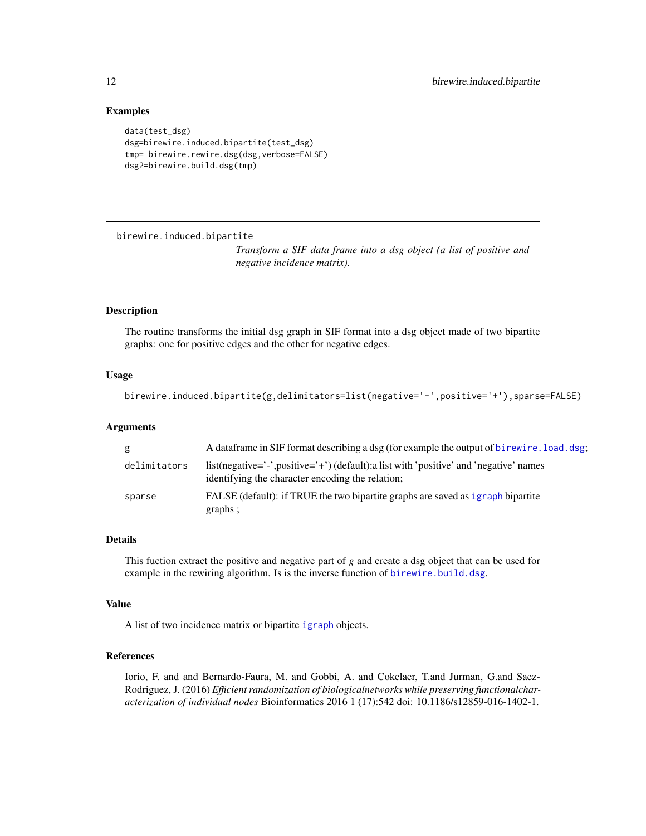# Examples

```
data(test_dsg)
dsg=birewire.induced.bipartite(test_dsg)
tmp= birewire.rewire.dsg(dsg,verbose=FALSE)
dsg2=birewire.build.dsg(tmp)
```
<span id="page-11-1"></span>birewire.induced.bipartite

*Transform a SIF data frame into a dsg object (a list of positive and negative incidence matrix).*

#### Description

The routine transforms the initial dsg graph in SIF format into a dsg object made of two bipartite graphs: one for positive edges and the other for negative edges.

#### Usage

```
birewire.induced.bipartite(g,delimitators=list(negative='-',positive='+'),sparse=FALSE)
```
## Arguments

| g            | A data frame in SIF format describing a dsg (for example the output of birewire. load. dsg;                                              |
|--------------|------------------------------------------------------------------------------------------------------------------------------------------|
| delimitators | list(negative='-',positive='+')(default):a list with 'positive' and 'negative' names<br>identifying the character encoding the relation; |
| sparse       | FALSE (default): if TRUE the two bipartite graphs are saved as igraph bipartite<br>graphs;                                               |

# Details

This fuction extract the positive and negative part of *g* and create a dsg object that can be used for example in the rewiring algorithm. Is is the inverse function of [birewire.build.dsg](#page-10-1).

#### Value

A list of two incidence matrix or bipartite [igraph](#page-0-0) objects.

# References

Iorio, F. and and Bernardo-Faura, M. and Gobbi, A. and Cokelaer, T.and Jurman, G.and Saez-Rodriguez, J. (2016) *Efficient randomization of biologicalnetworks while preserving functionalcharacterization of individual nodes* Bioinformatics 2016 1 (17):542 doi: 10.1186/s12859-016-1402-1.

<span id="page-11-0"></span>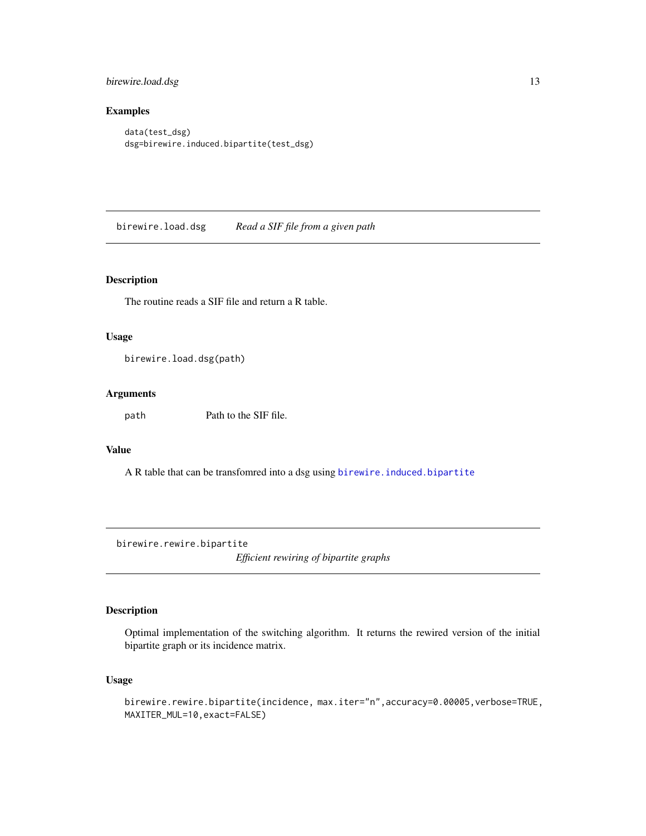<span id="page-12-0"></span>birewire.load.dsg 13

# Examples

```
data(test_dsg)
dsg=birewire.induced.bipartite(test_dsg)
```
<span id="page-12-2"></span>birewire.load.dsg *Read a SIF file from a given path*

# Description

The routine reads a SIF file and return a R table.

#### Usage

birewire.load.dsg(path)

#### Arguments

path Path to the SIF file.

# Value

A R table that can be transfomred into a dsg using birewire. induced.bipartite

<span id="page-12-1"></span>birewire.rewire.bipartite

*Efficient rewiring of bipartite graphs*

# Description

Optimal implementation of the switching algorithm. It returns the rewired version of the initial bipartite graph or its incidence matrix.

# Usage

```
birewire.rewire.bipartite(incidence, max.iter="n",accuracy=0.00005,verbose=TRUE,
MAXITER_MUL=10,exact=FALSE)
```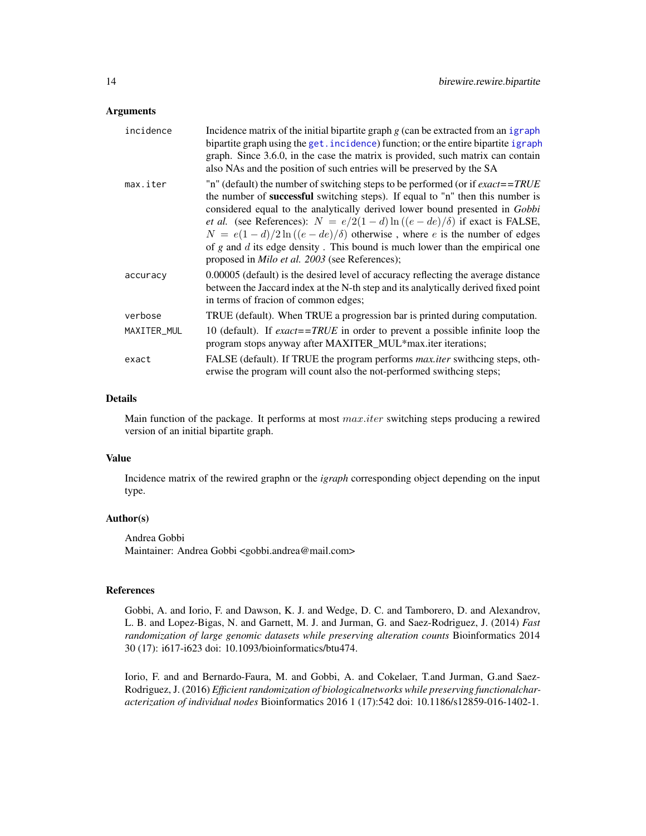#### <span id="page-13-0"></span>**Arguments**

| incidence   | Incidence matrix of the initial bipartite graph $g$ (can be extracted from an igraph<br>bipartite graph using the get. incidence) function; or the entire bipartite igraph<br>graph. Since 3.6.0, in the case the matrix is provided, such matrix can contain<br>also NAs and the position of such entries will be preserved by the SA                                                                                                                                                                                                                                                        |
|-------------|-----------------------------------------------------------------------------------------------------------------------------------------------------------------------------------------------------------------------------------------------------------------------------------------------------------------------------------------------------------------------------------------------------------------------------------------------------------------------------------------------------------------------------------------------------------------------------------------------|
| max.iter    | "n" (default) the number of switching steps to be performed (or if $\textit{exact} = \textit{TRUE}$<br>the number of <b>successful</b> switching steps). If equal to "n" then this number is<br>considered equal to the analytically derived lower bound presented in Gobbi<br><i>et al.</i> (see References): $N = e/2(1-d)\ln((e-de)/\delta)$ if exact is FALSE,<br>$N = e(1-d)/2\ln((e-de)/\delta)$ otherwise, where e is the number of edges<br>of $g$ and $d$ its edge density. This bound is much lower than the empirical one<br>proposed in <i>Milo et al.</i> 2003 (see References); |
| accuracy    | 0.00005 (default) is the desired level of accuracy reflecting the average distance<br>between the Jaccard index at the N-th step and its analytically derived fixed point<br>in terms of fracion of common edges;                                                                                                                                                                                                                                                                                                                                                                             |
| verbose     | TRUE (default). When TRUE a progression bar is printed during computation.                                                                                                                                                                                                                                                                                                                                                                                                                                                                                                                    |
| MAXITER_MUL | 10 (default). If exact==TRUE in order to prevent a possible infinite loop the<br>program stops anyway after MAXITER_MUL*max.iter iterations;                                                                                                                                                                                                                                                                                                                                                                                                                                                  |
| exact       | FALSE (default). If TRUE the program performs <i>max.iter</i> swithcing steps, oth-<br>erwise the program will count also the not-performed swithcing steps;                                                                                                                                                                                                                                                                                                                                                                                                                                  |

#### Details

Main function of the package. It performs at most max.iter switching steps producing a rewired version of an initial bipartite graph.

#### Value

Incidence matrix of the rewired graphn or the *igraph* corresponding object depending on the input type.

#### Author(s)

Andrea Gobbi Maintainer: Andrea Gobbi <gobbi.andrea@mail.com>

#### References

Gobbi, A. and Iorio, F. and Dawson, K. J. and Wedge, D. C. and Tamborero, D. and Alexandrov, L. B. and Lopez-Bigas, N. and Garnett, M. J. and Jurman, G. and Saez-Rodriguez, J. (2014) *Fast randomization of large genomic datasets while preserving alteration counts* Bioinformatics 2014 30 (17): i617-i623 doi: 10.1093/bioinformatics/btu474.

Iorio, F. and and Bernardo-Faura, M. and Gobbi, A. and Cokelaer, T.and Jurman, G.and Saez-Rodriguez, J. (2016) *Efficient randomization of biologicalnetworks while preserving functionalcharacterization of individual nodes* Bioinformatics 2016 1 (17):542 doi: 10.1186/s12859-016-1402-1.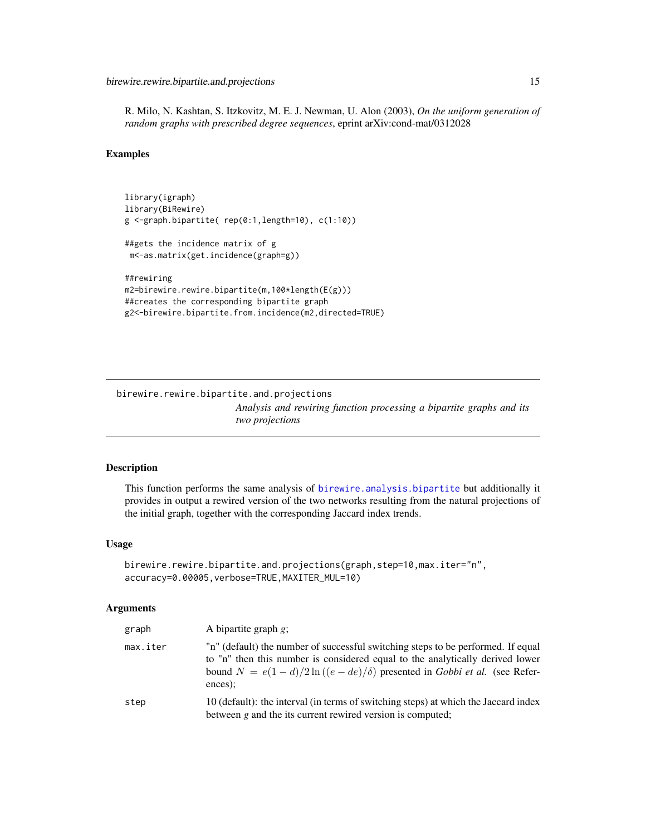<span id="page-14-0"></span>R. Milo, N. Kashtan, S. Itzkovitz, M. E. J. Newman, U. Alon (2003), *On the uniform generation of random graphs with prescribed degree sequences*, eprint arXiv:cond-mat/0312028

#### Examples

```
library(igraph)
library(BiRewire)
g <-graph.bipartite( rep(0:1,length=10), c(1:10))
##gets the incidence matrix of g
m<-as.matrix(get.incidence(graph=g))
##rewiring
m2=birewire.rewire.bipartite(m,100*length(E(g)))
##creates the corresponding bipartite graph
g2<-birewire.bipartite.from.incidence(m2,directed=TRUE)
```
birewire.rewire.bipartite.and.projections *Analysis and rewiring function processing a bipartite graphs and its two projections*

# Description

This function performs the same analysis of [birewire.analysis.bipartite](#page-2-1) but additionally it provides in output a rewired version of the two networks resulting from the natural projections of the initial graph, together with the corresponding Jaccard index trends.

#### Usage

```
birewire.rewire.bipartite.and.projections(graph,step=10,max.iter="n",
accuracy=0.00005,verbose=TRUE,MAXITER_MUL=10)
```
#### **Arguments**

| graph    | A bipartite graph $g$ ;                                                                                                                                                                                                                                      |
|----------|--------------------------------------------------------------------------------------------------------------------------------------------------------------------------------------------------------------------------------------------------------------|
| max.iter | "n" (default) the number of successful switching steps to be performed. If equal<br>to "n" then this number is considered equal to the analytically derived lower<br>bound $N = e(1-d)/2\ln((e-de)/\delta)$ presented in Gobbi et al. (see Refer-<br>ences); |
| step     | 10 (default): the interval (in terms of switching steps) at which the Jaccard index<br>between $g$ and the its current rewired version is computed;                                                                                                          |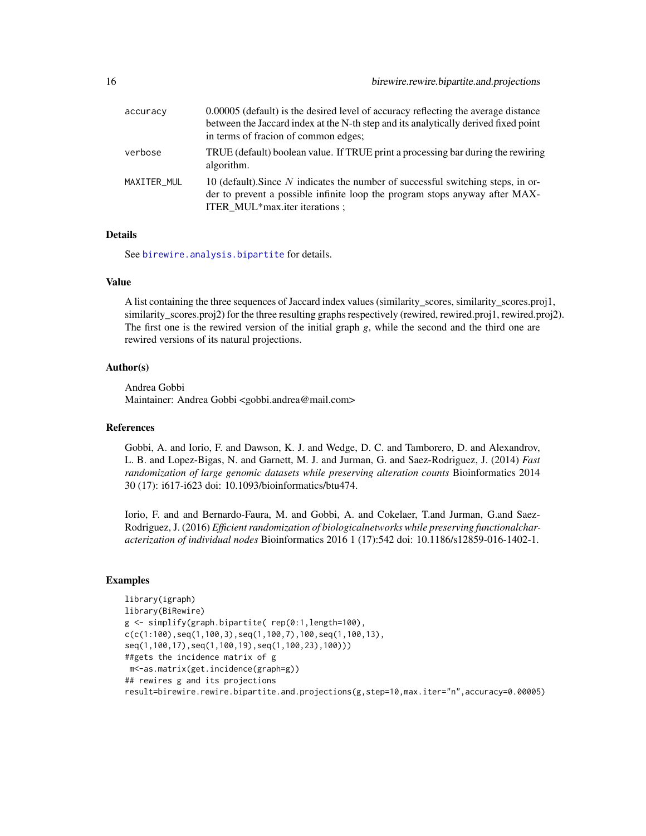<span id="page-15-0"></span>

| accuracy    | 0.00005 (default) is the desired level of accuracy reflecting the average distance<br>between the Jaccard index at the N-th step and its analytically derived fixed point<br>in terms of fracion of common edges; |
|-------------|-------------------------------------------------------------------------------------------------------------------------------------------------------------------------------------------------------------------|
| verbose     | TRUE (default) boolean value. If TRUE print a processing bar during the rewiring<br>algorithm.                                                                                                                    |
| MAXITER_MUL | 10 (default). Since N indicates the number of successful switching steps, in or-<br>der to prevent a possible infinite loop the program stops anyway after MAX-<br>ITER_MUL*max.iter iterations;                  |

#### **Details**

See [birewire.analysis.bipartite](#page-2-1) for details.

#### Value

A list containing the three sequences of Jaccard index values (similarity\_scores, similarity\_scores.proj1, similarity\_scores.proj2) for the three resulting graphs respectively (rewired, rewired.proj1, rewired.proj2). The first one is the rewired version of the initial graph *g*, while the second and the third one are rewired versions of its natural projections.

#### Author(s)

Andrea Gobbi Maintainer: Andrea Gobbi <gobbi.andrea@mail.com>

#### References

Gobbi, A. and Iorio, F. and Dawson, K. J. and Wedge, D. C. and Tamborero, D. and Alexandrov, L. B. and Lopez-Bigas, N. and Garnett, M. J. and Jurman, G. and Saez-Rodriguez, J. (2014) *Fast randomization of large genomic datasets while preserving alteration counts* Bioinformatics 2014 30 (17): i617-i623 doi: 10.1093/bioinformatics/btu474.

Iorio, F. and and Bernardo-Faura, M. and Gobbi, A. and Cokelaer, T.and Jurman, G.and Saez-Rodriguez, J. (2016) *Efficient randomization of biologicalnetworks while preserving functionalcharacterization of individual nodes* Bioinformatics 2016 1 (17):542 doi: 10.1186/s12859-016-1402-1.

# Examples

```
library(igraph)
library(BiRewire)
g <- simplify(graph.bipartite( rep(0:1,length=100),
c(c(1:100),seq(1,100,3),seq(1,100,7),100,seq(1,100,13),seq(1,100,17),seq(1,100,19),seq(1,100,23),100)))
##gets the incidence matrix of g
m<-as.matrix(get.incidence(graph=g))
## rewires g and its projections
result=birewire.rewire.bipartite.and.projections(g,step=10,max.iter="n",accuracy=0.00005)
```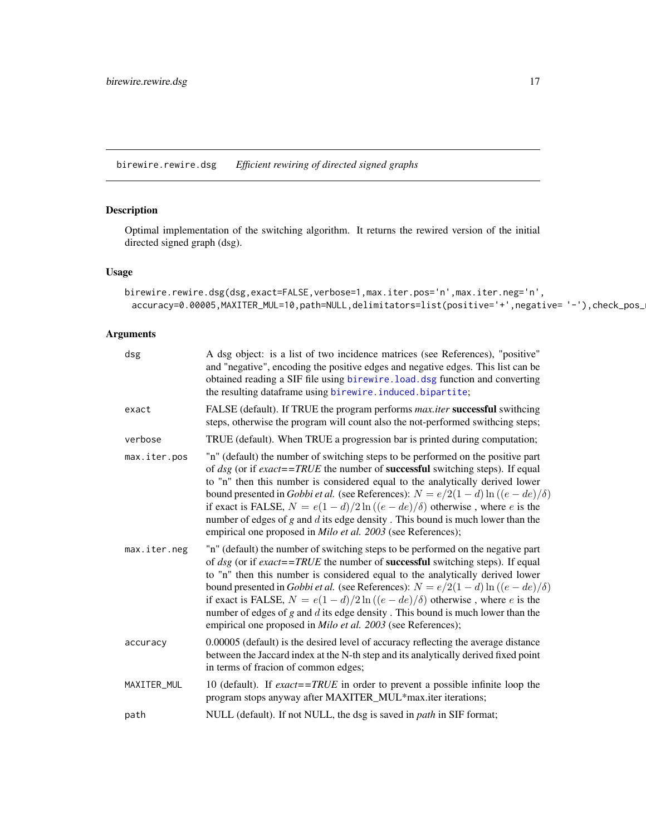<span id="page-16-0"></span>birewire.rewire.dsg *Efficient rewiring of directed signed graphs*

# Description

Optimal implementation of the switching algorithm. It returns the rewired version of the initial directed signed graph (dsg).

# Usage

```
birewire.rewire.dsg(dsg,exact=FALSE,verbose=1,max.iter.pos='n',max.iter.neg='n',
 accuracy=0.00005,MAXITER_MUL=10,path=NULL,delimitators=list(positive='+',negative= '-'),check_pos_
```
# Arguments

| dsg          | A dsg object: is a list of two incidence matrices (see References), "positive"<br>and "negative", encoding the positive edges and negative edges. This list can be<br>obtained reading a SIF file using birewire. load. dsg function and converting<br>the resulting dataframe using birewire. induced. bipartite;                                                                                                                                                                                                                                                                                                          |
|--------------|-----------------------------------------------------------------------------------------------------------------------------------------------------------------------------------------------------------------------------------------------------------------------------------------------------------------------------------------------------------------------------------------------------------------------------------------------------------------------------------------------------------------------------------------------------------------------------------------------------------------------------|
| exact        | FALSE (default). If TRUE the program performs <i>max.iter</i> successful swithcing<br>steps, otherwise the program will count also the not-performed swithcing steps;                                                                                                                                                                                                                                                                                                                                                                                                                                                       |
| verbose      | TRUE (default). When TRUE a progression bar is printed during computation;                                                                                                                                                                                                                                                                                                                                                                                                                                                                                                                                                  |
| max.iter.pos | "n" (default) the number of switching steps to be performed on the positive part<br>of $\text{dg}$ (or if exact==TRUE the number of <b>successful</b> switching steps). If equal<br>to "n" then this number is considered equal to the analytically derived lower<br>bound presented in <i>Gobbi et al.</i> (see References): $N = e/2(1-d)\ln((e-de)/\delta)$<br>if exact is FALSE, $N = e(1 - d)/2\ln((e - de)/\delta)$ otherwise, where e is the<br>number of edges of $g$ and $d$ its edge density. This bound is much lower than the<br>empirical one proposed in <i>Milo et al.</i> 2003 (see References);            |
| max.iter.neg | "n" (default) the number of switching steps to be performed on the negative part<br>of $\text{dsg}$ (or if $\text{exact} = \text{TRUE}$ the number of <b>successful</b> switching steps). If equal<br>to "n" then this number is considered equal to the analytically derived lower<br>bound presented in <i>Gobbi et al.</i> (see References): $N = e/2(1-d)\ln((e-de)/\delta)$<br>if exact is FALSE, $N = e(1 - d)/2\ln((e - de)/\delta)$ otherwise, where e is the<br>number of edges of $g$ and $d$ its edge density. This bound is much lower than the<br>empirical one proposed in Milo et al. 2003 (see References); |
| accuracy     | 0.00005 (default) is the desired level of accuracy reflecting the average distance<br>between the Jaccard index at the N-th step and its analytically derived fixed point<br>in terms of fracion of common edges;                                                                                                                                                                                                                                                                                                                                                                                                           |
| MAXITER_MUL  | 10 (default). If $\textit{exact} = \textit{TRUE}$ in order to prevent a possible infinite loop the<br>program stops anyway after MAXITER_MUL*max.iter iterations;                                                                                                                                                                                                                                                                                                                                                                                                                                                           |
| path         | NULL (default). If not NULL, the dsg is saved in <i>path</i> in SIF format;                                                                                                                                                                                                                                                                                                                                                                                                                                                                                                                                                 |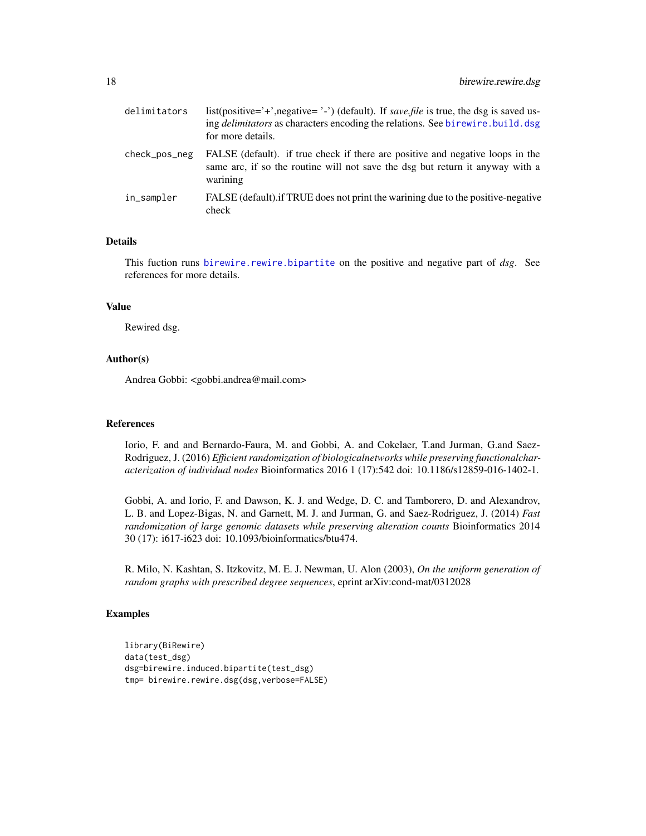<span id="page-17-0"></span>

| delimitators  | list(positive='+',negative='-') (default). If save file is true, the dsg is saved us-<br>ing <i>delimitators</i> as characters encoding the relations. See birewire, build, dsg<br>for more details. |
|---------------|------------------------------------------------------------------------------------------------------------------------------------------------------------------------------------------------------|
| check_pos_neg | FALSE (default). if true check if there are positive and negative loops in the<br>same arc, if so the routine will not save the dsg but return it anyway with a<br>warining                          |
| in_sampler    | FALSE (default). If TRUE does not print the warining due to the positive-negative<br>check                                                                                                           |

#### Details

This fuction runs [birewire.rewire.bipartite](#page-12-1) on the positive and negative part of *dsg*. See references for more details.

# Value

Rewired dsg.

# Author(s)

Andrea Gobbi: <gobbi.andrea@mail.com>

# References

Iorio, F. and and Bernardo-Faura, M. and Gobbi, A. and Cokelaer, T.and Jurman, G.and Saez-Rodriguez, J. (2016) *Efficient randomization of biologicalnetworks while preserving functionalcharacterization of individual nodes* Bioinformatics 2016 1 (17):542 doi: 10.1186/s12859-016-1402-1.

Gobbi, A. and Iorio, F. and Dawson, K. J. and Wedge, D. C. and Tamborero, D. and Alexandrov, L. B. and Lopez-Bigas, N. and Garnett, M. J. and Jurman, G. and Saez-Rodriguez, J. (2014) *Fast randomization of large genomic datasets while preserving alteration counts* Bioinformatics 2014 30 (17): i617-i623 doi: 10.1093/bioinformatics/btu474.

R. Milo, N. Kashtan, S. Itzkovitz, M. E. J. Newman, U. Alon (2003), *On the uniform generation of random graphs with prescribed degree sequences*, eprint arXiv:cond-mat/0312028

# Examples

```
library(BiRewire)
data(test_dsg)
dsg=birewire.induced.bipartite(test_dsg)
tmp= birewire.rewire.dsg(dsg,verbose=FALSE)
```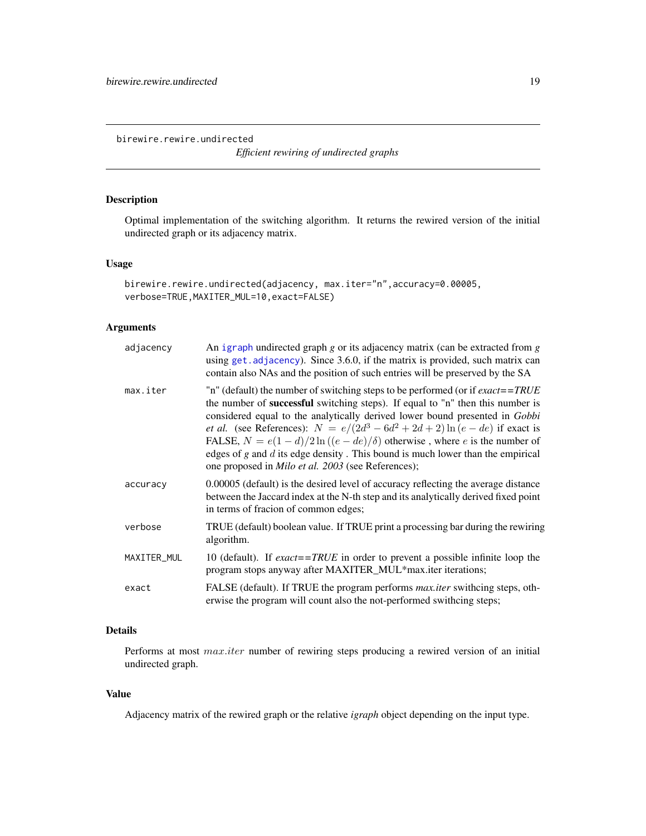<span id="page-18-1"></span><span id="page-18-0"></span>birewire.rewire.undirected

*Efficient rewiring of undirected graphs*

# Description

Optimal implementation of the switching algorithm. It returns the rewired version of the initial undirected graph or its adjacency matrix.

# Usage

```
birewire.rewire.undirected(adjacency, max.iter="n",accuracy=0.00005,
verbose=TRUE,MAXITER_MUL=10,exact=FALSE)
```
# Arguments

| adjacency   | An igraph undirected graph $g$ or its adjacency matrix (can be extracted from $g$<br>using get. adjacency). Since 3.6.0, if the matrix is provided, such matrix can<br>contain also NAs and the position of such entries will be preserved by the SA                                                                                                                                                                                                                                                                                                                                                         |
|-------------|--------------------------------------------------------------------------------------------------------------------------------------------------------------------------------------------------------------------------------------------------------------------------------------------------------------------------------------------------------------------------------------------------------------------------------------------------------------------------------------------------------------------------------------------------------------------------------------------------------------|
| max.iter    | "n" (default) the number of switching steps to be performed (or if $\textit{exact} = \textit{TRUE}$<br>the number of <b>successful</b> switching steps). If equal to "n" then this number is<br>considered equal to the analytically derived lower bound presented in Gobbi<br><i>et al.</i> (see References): $N = e/(2d^3 - 6d^2 + 2d + 2) \ln(e - de)$ if exact is<br>FALSE, $N = e(1 - d)/2 \ln((e - de)/\delta)$ otherwise, where e is the number of<br>edges of $g$ and $d$ its edge density. This bound is much lower than the empirical<br>one proposed in <i>Milo et al.</i> 2003 (see References); |
| accuracy    | 0.00005 (default) is the desired level of accuracy reflecting the average distance<br>between the Jaccard index at the N-th step and its analytically derived fixed point<br>in terms of fracion of common edges;                                                                                                                                                                                                                                                                                                                                                                                            |
| verbose     | TRUE (default) boolean value. If TRUE print a processing bar during the rewiring<br>algorithm.                                                                                                                                                                                                                                                                                                                                                                                                                                                                                                               |
| MAXITER_MUL | 10 (default). If $\textit{exact} = \textit{TRUE}$ in order to prevent a possible infinite loop the<br>program stops anyway after MAXITER_MUL*max.iter iterations;                                                                                                                                                                                                                                                                                                                                                                                                                                            |
| exact       | FALSE (default). If TRUE the program performs <i>max.iter</i> swithcing steps, oth-<br>erwise the program will count also the not-performed swithcing steps;                                                                                                                                                                                                                                                                                                                                                                                                                                                 |

# Details

Performs at most *max.iter* number of rewiring steps producing a rewired version of an initial undirected graph.

#### Value

Adjacency matrix of the rewired graph or the relative *igraph* object depending on the input type.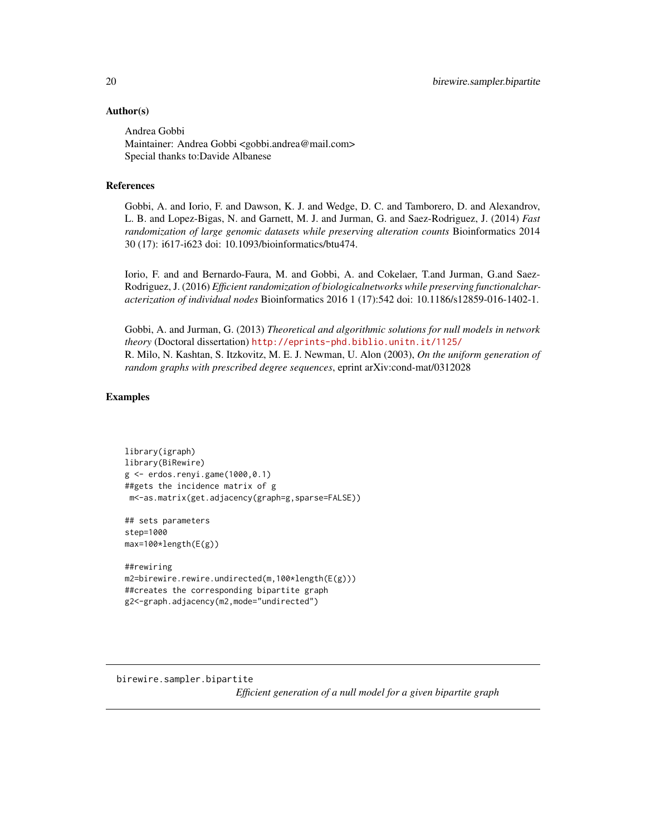## <span id="page-19-0"></span>Author(s)

Andrea Gobbi Maintainer: Andrea Gobbi <gobbi.andrea@mail.com> Special thanks to:Davide Albanese

## References

Gobbi, A. and Iorio, F. and Dawson, K. J. and Wedge, D. C. and Tamborero, D. and Alexandrov, L. B. and Lopez-Bigas, N. and Garnett, M. J. and Jurman, G. and Saez-Rodriguez, J. (2014) *Fast randomization of large genomic datasets while preserving alteration counts* Bioinformatics 2014 30 (17): i617-i623 doi: 10.1093/bioinformatics/btu474.

Iorio, F. and and Bernardo-Faura, M. and Gobbi, A. and Cokelaer, T.and Jurman, G.and Saez-Rodriguez, J. (2016) *Efficient randomization of biologicalnetworks while preserving functionalcharacterization of individual nodes* Bioinformatics 2016 1 (17):542 doi: 10.1186/s12859-016-1402-1.

Gobbi, A. and Jurman, G. (2013) *Theoretical and algorithmic solutions for null models in network theory* (Doctoral dissertation) <http://eprints-phd.biblio.unitn.it/1125/> R. Milo, N. Kashtan, S. Itzkovitz, M. E. J. Newman, U. Alon (2003), *On the uniform generation of random graphs with prescribed degree sequences*, eprint arXiv:cond-mat/0312028

#### Examples

```
library(igraph)
library(BiRewire)
g <- erdos.renyi.game(1000,0.1)
##gets the incidence matrix of g
m<-as.matrix(get.adjacency(graph=g,sparse=FALSE))
```
## sets parameters step=1000 max=100\*length(E(g))

##rewiring m2=birewire.rewire.undirected(m,100\*length(E(g))) ##creates the corresponding bipartite graph g2<-graph.adjacency(m2,mode="undirected")

<span id="page-19-1"></span>birewire.sampler.bipartite *Efficient generation of a null model for a given bipartite graph*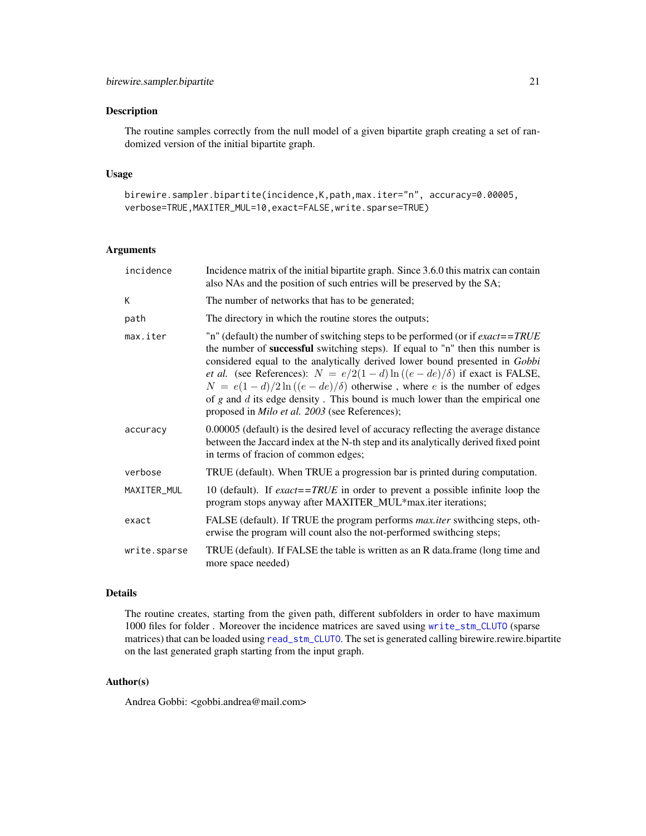# <span id="page-20-0"></span>Description

The routine samples correctly from the null model of a given bipartite graph creating a set of randomized version of the initial bipartite graph.

# Usage

```
birewire.sampler.bipartite(incidence,K,path,max.iter="n", accuracy=0.00005,
verbose=TRUE,MAXITER_MUL=10,exact=FALSE,write.sparse=TRUE)
```
#### Arguments

| incidence    | Incidence matrix of the initial bipartite graph. Since 3.6.0 this matrix can contain<br>also NAs and the position of such entries will be preserved by the SA;                                                                                                                                                                                                                                                                                                                                                                                                                         |
|--------------|----------------------------------------------------------------------------------------------------------------------------------------------------------------------------------------------------------------------------------------------------------------------------------------------------------------------------------------------------------------------------------------------------------------------------------------------------------------------------------------------------------------------------------------------------------------------------------------|
| К            | The number of networks that has to be generated;                                                                                                                                                                                                                                                                                                                                                                                                                                                                                                                                       |
| path         | The directory in which the routine stores the outputs;                                                                                                                                                                                                                                                                                                                                                                                                                                                                                                                                 |
| max.iter     | "n" (default) the number of switching steps to be performed (or if $\textit{exact} = \textit{TRUE}$<br>the number of successful switching steps). If equal to "n" then this number is<br>considered equal to the analytically derived lower bound presented in Gobbi<br><i>et al.</i> (see References): $N = e/2(1-d)\ln((e-de)/\delta)$ if exact is FALSE,<br>$N = e(1-d)/2\ln((e-de)/\delta)$ otherwise, where e is the number of edges<br>of $g$ and $d$ its edge density. This bound is much lower than the empirical one<br>proposed in <i>Milo et al.</i> 2003 (see References); |
| accuracy     | 0.00005 (default) is the desired level of accuracy reflecting the average distance<br>between the Jaccard index at the N-th step and its analytically derived fixed point<br>in terms of fracion of common edges;                                                                                                                                                                                                                                                                                                                                                                      |
| verbose      | TRUE (default). When TRUE a progression bar is printed during computation.                                                                                                                                                                                                                                                                                                                                                                                                                                                                                                             |
| MAXITER_MUL  | 10 (default). If exact==TRUE in order to prevent a possible infinite loop the<br>program stops anyway after MAXITER_MUL*max.iter iterations;                                                                                                                                                                                                                                                                                                                                                                                                                                           |
| exact        | FALSE (default). If TRUE the program performs <i>max.iter</i> swithcing steps, oth-<br>erwise the program will count also the not-performed swithcing steps;                                                                                                                                                                                                                                                                                                                                                                                                                           |
| write.sparse | TRUE (default). If FALSE the table is written as an R data.frame (long time and<br>more space needed)                                                                                                                                                                                                                                                                                                                                                                                                                                                                                  |

# Details

The routine creates, starting from the given path, different subfolders in order to have maximum 1000 files for folder . Moreover the incidence matrices are saved using [write\\_stm\\_CLUTO](#page-0-0) (sparse matrices) that can be loaded using [read\\_stm\\_CLUTO](#page-0-0). The set is generated calling birewire.rewire.bipartite on the last generated graph starting from the input graph.

# Author(s)

Andrea Gobbi: <gobbi.andrea@mail.com>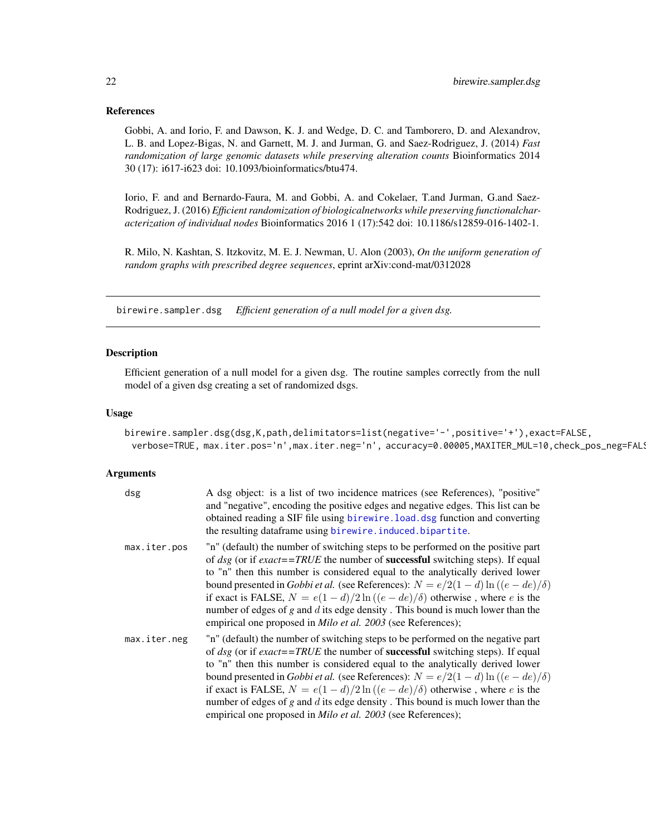#### <span id="page-21-0"></span>References

Gobbi, A. and Iorio, F. and Dawson, K. J. and Wedge, D. C. and Tamborero, D. and Alexandrov, L. B. and Lopez-Bigas, N. and Garnett, M. J. and Jurman, G. and Saez-Rodriguez, J. (2014) *Fast randomization of large genomic datasets while preserving alteration counts* Bioinformatics 2014 30 (17): i617-i623 doi: 10.1093/bioinformatics/btu474.

Iorio, F. and and Bernardo-Faura, M. and Gobbi, A. and Cokelaer, T.and Jurman, G.and Saez-Rodriguez, J. (2016) *Efficient randomization of biologicalnetworks while preserving functionalcharacterization of individual nodes* Bioinformatics 2016 1 (17):542 doi: 10.1186/s12859-016-1402-1.

R. Milo, N. Kashtan, S. Itzkovitz, M. E. J. Newman, U. Alon (2003), *On the uniform generation of random graphs with prescribed degree sequences*, eprint arXiv:cond-mat/0312028

<span id="page-21-1"></span>birewire.sampler.dsg *Efficient generation of a null model for a given dsg.*

#### Description

Efficient generation of a null model for a given dsg. The routine samples correctly from the null model of a given dsg creating a set of randomized dsgs.

#### Usage

```
birewire.sampler.dsg(dsg,K,path,delimitators=list(negative='-',positive='+'),exact=FALSE,
 verbose=TRUE, max.iter.pos='n',max.iter.neg='n', accuracy=0.00005,MAXITER_MUL=10,check_pos_neg=FAL!
```
#### Arguments

| dsg          | A dsg object: is a list of two incidence matrices (see References), "positive"<br>and "negative", encoding the positive edges and negative edges. This list can be<br>obtained reading a SIF file using birewire. load. dsg function and converting<br>the resulting dataframe using birewire. induced. bipartite.                                                                                                                                                                                                                                                                                       |
|--------------|----------------------------------------------------------------------------------------------------------------------------------------------------------------------------------------------------------------------------------------------------------------------------------------------------------------------------------------------------------------------------------------------------------------------------------------------------------------------------------------------------------------------------------------------------------------------------------------------------------|
| max.iter.pos | "n" (default) the number of switching steps to be performed on the positive part<br>of dsg (or if exact==TRUE the number of <b>successful</b> switching steps). If equal<br>to "n" then this number is considered equal to the analytically derived lower<br>bound presented in Gobbi et al. (see References): $N = e/2(1-d)\ln((e-de)/\delta)$<br>if exact is FALSE, $N = e(1 - d)/2 \ln((e - de)/\delta)$ otherwise, where e is the<br>number of edges of $g$ and $d$ its edge density. This bound is much lower than the<br>empirical one proposed in <i>Milo et al.</i> 2003 (see References);       |
| max.iter.neg | "n" (default) the number of switching steps to be performed on the negative part<br>of dsg (or if exact==TRUE the number of <b>successful</b> switching steps). If equal<br>to "n" then this number is considered equal to the analytically derived lower<br>bound presented in <i>Gobbi et al.</i> (see References): $N = e/2(1-d)\ln((e-de)/\delta)$<br>if exact is FALSE, $N = e(1 - d)/2\ln((e - de)/\delta)$ otherwise, where e is the<br>number of edges of $g$ and $d$ its edge density. This bound is much lower than the<br>empirical one proposed in <i>Milo et al.</i> 2003 (see References); |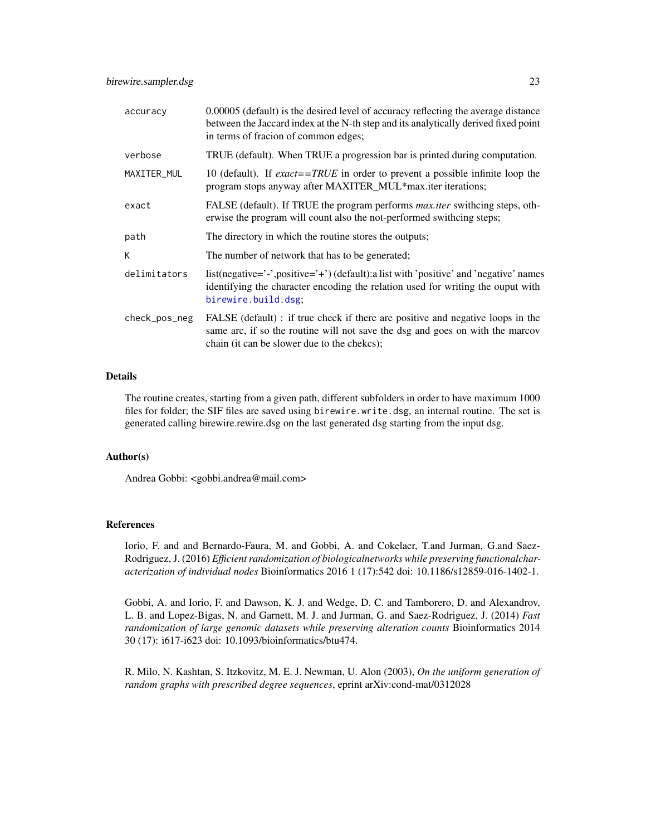<span id="page-22-0"></span>

| accuracy      | 0.00005 (default) is the desired level of accuracy reflecting the average distance<br>between the Jaccard index at the N-th step and its analytically derived fixed point<br>in terms of fracion of common edges; |
|---------------|-------------------------------------------------------------------------------------------------------------------------------------------------------------------------------------------------------------------|
| verbose       | TRUE (default). When TRUE a progression bar is printed during computation.                                                                                                                                        |
| MAXITER_MUL   | 10 (default). If exact==TRUE in order to prevent a possible infinite loop the<br>program stops anyway after MAXITER_MUL*max.iter iterations;                                                                      |
| exact         | FALSE (default). If TRUE the program performs <i>max.iter</i> swithcing steps, oth-<br>erwise the program will count also the not-performed swithcing steps;                                                      |
| path          | The directory in which the routine stores the outputs;                                                                                                                                                            |
| К             | The number of network that has to be generated;                                                                                                                                                                   |
| delimitators  | list(negative='-',positive='+')(default):a list with 'positive' and 'negative' names<br>identifying the character encoding the relation used for writing the ouput with<br>birewire.build.dsg;                    |
| check_pos_neg | FALSE (default) : if true check if there are positive and negative loops in the<br>same arc, if so the routine will not save the dsg and goes on with the marcov<br>chain (it can be slower due to the chekes);   |

# Details

The routine creates, starting from a given path, different subfolders in order to have maximum 1000 files for folder; the SIF files are saved using birewire.write.dsg, an internal routine. The set is generated calling birewire.rewire.dsg on the last generated dsg starting from the input dsg.

#### Author(s)

Andrea Gobbi: <gobbi.andrea@mail.com>

#### References

Iorio, F. and and Bernardo-Faura, M. and Gobbi, A. and Cokelaer, T.and Jurman, G.and Saez-Rodriguez, J. (2016) *Efficient randomization of biologicalnetworks while preserving functionalcharacterization of individual nodes* Bioinformatics 2016 1 (17):542 doi: 10.1186/s12859-016-1402-1.

Gobbi, A. and Iorio, F. and Dawson, K. J. and Wedge, D. C. and Tamborero, D. and Alexandrov, L. B. and Lopez-Bigas, N. and Garnett, M. J. and Jurman, G. and Saez-Rodriguez, J. (2014) *Fast randomization of large genomic datasets while preserving alteration counts* Bioinformatics 2014 30 (17): i617-i623 doi: 10.1093/bioinformatics/btu474.

R. Milo, N. Kashtan, S. Itzkovitz, M. E. J. Newman, U. Alon (2003), *On the uniform generation of random graphs with prescribed degree sequences*, eprint arXiv:cond-mat/0312028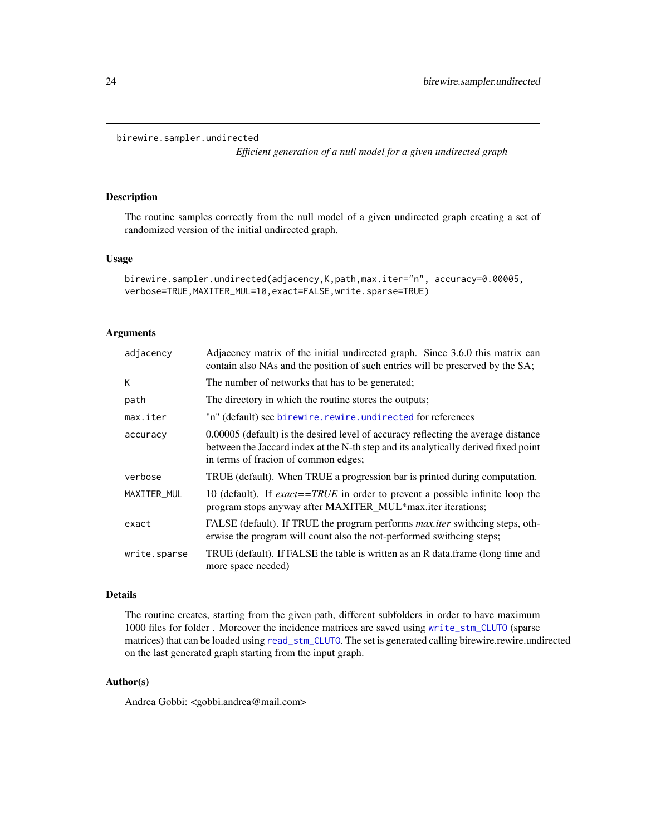```
birewire.sampler.undirected
```
*Efficient generation of a null model for a given undirected graph*

# Description

The routine samples correctly from the null model of a given undirected graph creating a set of randomized version of the initial undirected graph.

#### Usage

```
birewire.sampler.undirected(adjacency,K,path,max.iter="n", accuracy=0.00005,
verbose=TRUE,MAXITER_MUL=10,exact=FALSE,write.sparse=TRUE)
```
# Arguments

| adjacency    | Adjacency matrix of the initial undirected graph. Since 3.6.0 this matrix can<br>contain also NAs and the position of such entries will be preserved by the SA;                                                   |
|--------------|-------------------------------------------------------------------------------------------------------------------------------------------------------------------------------------------------------------------|
| К            | The number of networks that has to be generated;                                                                                                                                                                  |
| path         | The directory in which the routine stores the outputs;                                                                                                                                                            |
| max.iter     | "n" (default) see birewire.rewire.undirected for references                                                                                                                                                       |
| accuracy     | 0.00005 (default) is the desired level of accuracy reflecting the average distance<br>between the Jaccard index at the N-th step and its analytically derived fixed point<br>in terms of fracion of common edges; |
| verbose      | TRUE (default). When TRUE a progression bar is printed during computation.                                                                                                                                        |
| MAXITER_MUL  | 10 (default). If $\text{exact} = \text{TRUE}$ in order to prevent a possible infinite loop the<br>program stops anyway after MAXITER_MUL*max.iter iterations;                                                     |
| exact        | FALSE (default). If TRUE the program performs <i>max.iter</i> swithcing steps, oth-<br>erwise the program will count also the not-performed swithing steps;                                                       |
| write.sparse | TRUE (default). If FALSE the table is written as an R data.frame (long time and<br>more space needed)                                                                                                             |

#### Details

The routine creates, starting from the given path, different subfolders in order to have maximum 1000 files for folder . Moreover the incidence matrices are saved using [write\\_stm\\_CLUTO](#page-0-0) (sparse matrices) that can be loaded using [read\\_stm\\_CLUTO](#page-0-0). The set is generated calling birewire.rewire.undirected on the last generated graph starting from the input graph.

#### Author(s)

Andrea Gobbi: <gobbi.andrea@mail.com>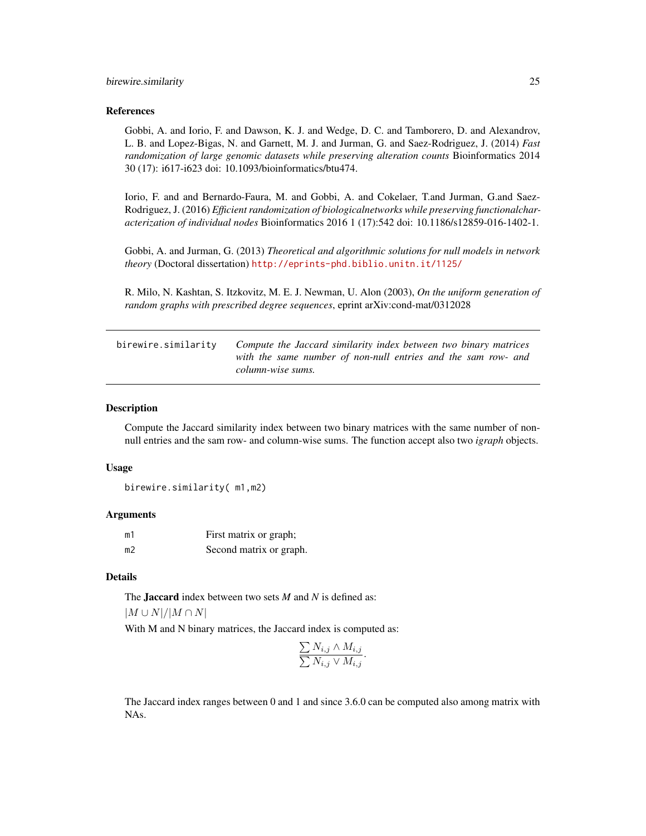#### <span id="page-24-0"></span>References

Gobbi, A. and Iorio, F. and Dawson, K. J. and Wedge, D. C. and Tamborero, D. and Alexandrov, L. B. and Lopez-Bigas, N. and Garnett, M. J. and Jurman, G. and Saez-Rodriguez, J. (2014) *Fast randomization of large genomic datasets while preserving alteration counts* Bioinformatics 2014 30 (17): i617-i623 doi: 10.1093/bioinformatics/btu474.

Iorio, F. and and Bernardo-Faura, M. and Gobbi, A. and Cokelaer, T.and Jurman, G.and Saez-Rodriguez, J. (2016) *Efficient randomization of biologicalnetworks while preserving functionalcharacterization of individual nodes* Bioinformatics 2016 1 (17):542 doi: 10.1186/s12859-016-1402-1.

Gobbi, A. and Jurman, G. (2013) *Theoretical and algorithmic solutions for null models in network theory* (Doctoral dissertation) <http://eprints-phd.biblio.unitn.it/1125/>

R. Milo, N. Kashtan, S. Itzkovitz, M. E. J. Newman, U. Alon (2003), *On the uniform generation of random graphs with prescribed degree sequences*, eprint arXiv:cond-mat/0312028

<span id="page-24-1"></span>birewire.similarity *Compute the Jaccard similarity index between two binary matrices with the same number of non-null entries and the sam row- and column-wise sums.*

#### **Description**

Compute the Jaccard similarity index between two binary matrices with the same number of nonnull entries and the sam row- and column-wise sums. The function accept also two *igraph* objects.

#### Usage

birewire.similarity( m1,m2)

#### Arguments

| m1 | First matrix or graph;  |
|----|-------------------------|
| m2 | Second matrix or graph. |

#### Details

The Jaccard index between two sets *M* and *N* is defined as:

 $|M \cup N|/|M \cap N|$ 

With M and N binary matrices, the Jaccard index is computed as:

$$
\frac{\sum N_{i,j} \wedge M_{i,j}}{\sum N_{i,j} \vee M_{i,j}}.
$$

The Jaccard index ranges between 0 and 1 and since 3.6.0 can be computed also among matrix with NAs.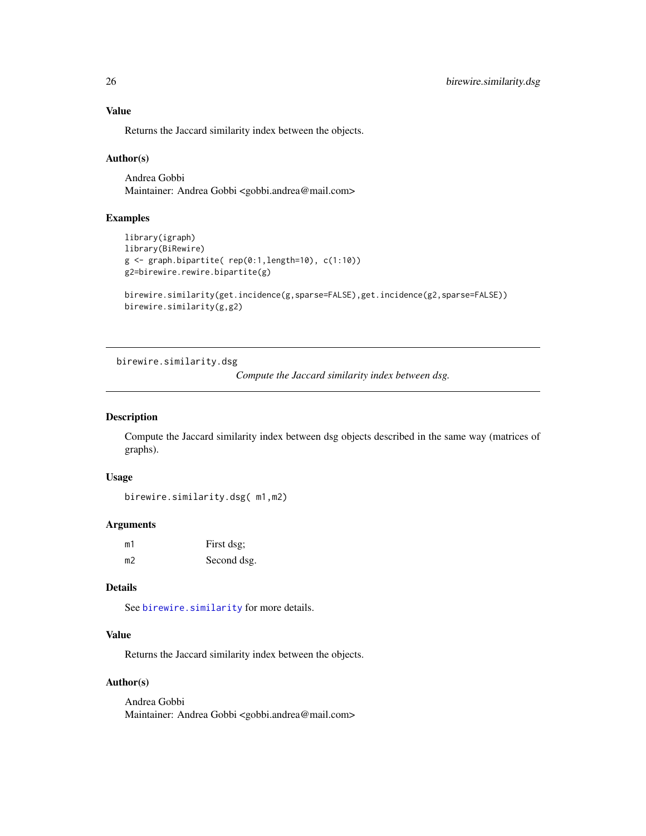# Value

Returns the Jaccard similarity index between the objects.

#### Author(s)

Andrea Gobbi Maintainer: Andrea Gobbi <gobbi.andrea@mail.com>

## Examples

```
library(igraph)
library(BiRewire)
g \leftarrow graph.bipartite( rep(0:1, length=10), c(1:10))g2=birewire.rewire.bipartite(g)
birewire.similarity(get.incidence(g,sparse=FALSE),get.incidence(g2,sparse=FALSE))
birewire.similarity(g,g2)
```
<span id="page-25-1"></span>birewire.similarity.dsg

```
Compute the Jaccard similarity index between dsg.
```
# Description

Compute the Jaccard similarity index between dsg objects described in the same way (matrices of graphs).

# Usage

birewire.similarity.dsg( m1,m2)

# Arguments

| m1 | First dsg;  |
|----|-------------|
| m2 | Second dsg. |

# Details

See [birewire.similarity](#page-24-1) for more details.

# Value

Returns the Jaccard similarity index between the objects.

#### Author(s)

Andrea Gobbi Maintainer: Andrea Gobbi <gobbi.andrea@mail.com>

<span id="page-25-0"></span>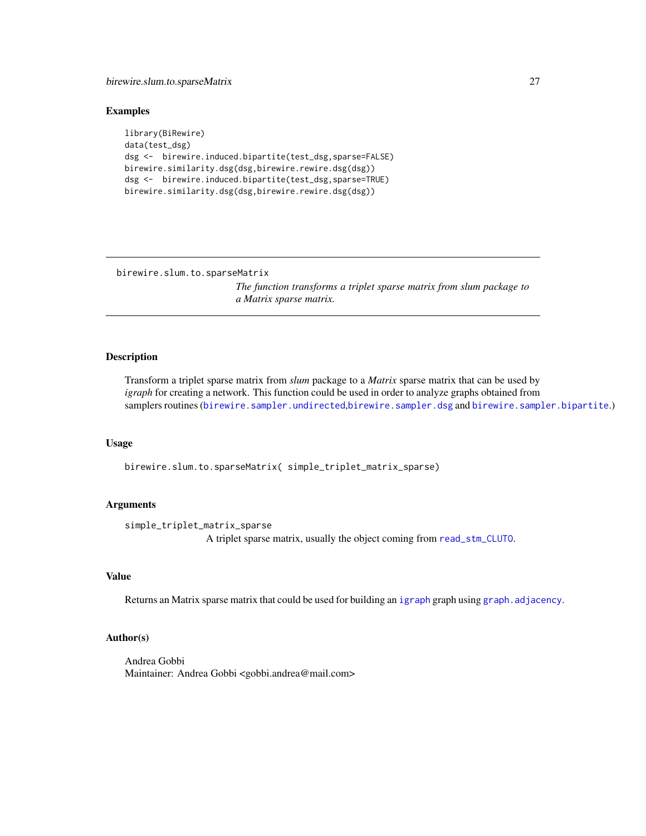# <span id="page-26-0"></span>birewire.slum.to.sparseMatrix 27

#### Examples

```
library(BiRewire)
data(test_dsg)
dsg <- birewire.induced.bipartite(test_dsg,sparse=FALSE)
birewire.similarity.dsg(dsg,birewire.rewire.dsg(dsg))
dsg <- birewire.induced.bipartite(test_dsg,sparse=TRUE)
birewire.similarity.dsg(dsg,birewire.rewire.dsg(dsg))
```
birewire.slum.to.sparseMatrix

*The function transforms a triplet sparse matrix from slum package to a Matrix sparse matrix.*

#### Description

Transform a triplet sparse matrix from *slum* package to a *Matrix* sparse matrix that can be used by *igraph* for creating a network. This function could be used in order to analyze graphs obtained from samplers routines ([birewire.sampler.undirected](#page-23-1),[birewire.sampler.dsg](#page-21-1) and [birewire.sampler.bipartite](#page-19-1).)

#### Usage

birewire.slum.to.sparseMatrix( simple\_triplet\_matrix\_sparse)

#### Arguments

simple\_triplet\_matrix\_sparse A triplet sparse matrix, usually the object coming from [read\\_stm\\_CLUTO](#page-0-0).

#### Value

Returns an Matrix sparse matrix that could be used for building an [igraph](#page-0-0) graph using [graph.adjacency](#page-0-0).

#### Author(s)

Andrea Gobbi Maintainer: Andrea Gobbi <gobbi.andrea@mail.com>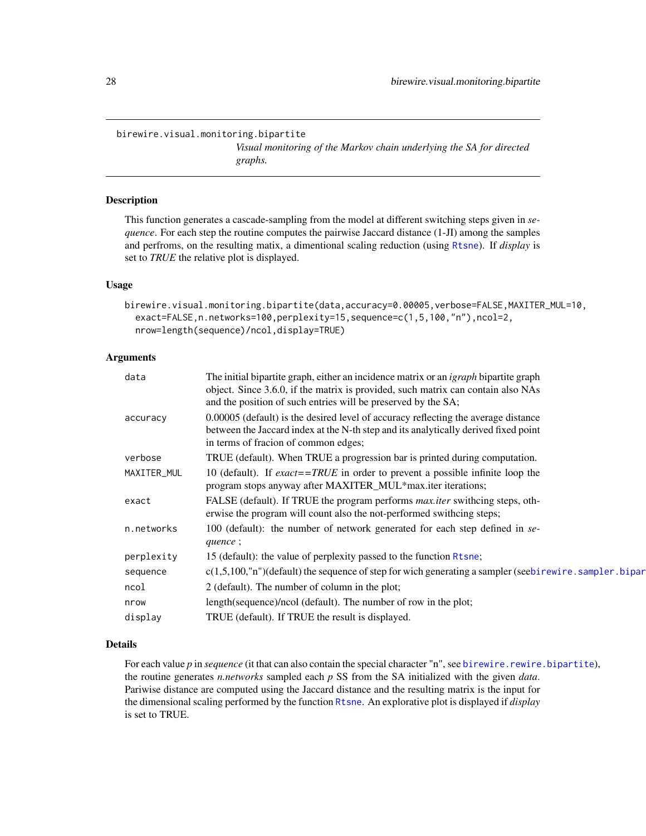#### <span id="page-27-1"></span><span id="page-27-0"></span>birewire.visual.monitoring.bipartite

*Visual monitoring of the Markov chain underlying the SA for directed graphs.*

# Description

This function generates a cascade-sampling from the model at different switching steps given in *sequence*. For each step the routine computes the pairwise Jaccard distance (1-JI) among the samples and perfroms, on the resulting matix, a dimentional scaling reduction (using [Rtsne](#page-0-0)). If *display* is set to *TRUE* the relative plot is displayed.

# Usage

```
birewire.visual.monitoring.bipartite(data,accuracy=0.00005,verbose=FALSE,MAXITER_MUL=10,
  exact=FALSE,n.networks=100,perplexity=15,sequence=c(1,5,100,"n"),ncol=2,
  nrow=length(sequence)/ncol,display=TRUE)
```
# Arguments

| data        | The initial bipartite graph, either an incidence matrix or an <i>igraph</i> bipartite graph<br>object. Since 3.6.0, if the matrix is provided, such matrix can contain also NAs<br>and the position of such entries will be preserved by the SA; |
|-------------|--------------------------------------------------------------------------------------------------------------------------------------------------------------------------------------------------------------------------------------------------|
| accuracy    | 0.00005 (default) is the desired level of accuracy reflecting the average distance<br>between the Jaccard index at the N-th step and its analytically derived fixed point<br>in terms of fracion of common edges;                                |
| verbose     | TRUE (default). When TRUE a progression bar is printed during computation.                                                                                                                                                                       |
| MAXITER_MUL | 10 (default). If <i>exact</i> == <i>TRUE</i> in order to prevent a possible infinite loop the<br>program stops anyway after MAXITER_MUL*max.iter iterations;                                                                                     |
| exact       | FALSE (default). If TRUE the program performs <i>max.iter</i> swithcing steps, oth-<br>erwise the program will count also the not-performed swithcing steps;                                                                                     |
| n.networks  | 100 (default): the number of network generated for each step defined in se-<br>quence;                                                                                                                                                           |
| perplexity  | 15 (default): the value of perplexity passed to the function Rtsne;                                                                                                                                                                              |
| sequence    | $c(1,5,100, "n")$ (default) the sequence of step for wich generating a sampler (seebirewire. sampler. bipar                                                                                                                                      |
| ncol        | 2 (default). The number of column in the plot;                                                                                                                                                                                                   |
| nrow        | length(sequence)/ncol (default). The number of row in the plot;                                                                                                                                                                                  |
| display     | TRUE (default). If TRUE the result is displayed.                                                                                                                                                                                                 |

# Details

For each value *p* in *sequence* (it that can also contain the special character "n", see [birewire.rewire.bipartite](#page-12-1)), the routine generates *n.networks* sampled each *p* SS from the SA initialized with the given *data*. Pariwise distance are computed using the Jaccard distance and the resulting matrix is the input for the dimensional scaling performed by the function [Rtsne](#page-0-0). An explorative plot is displayed if *display* is set to TRUE.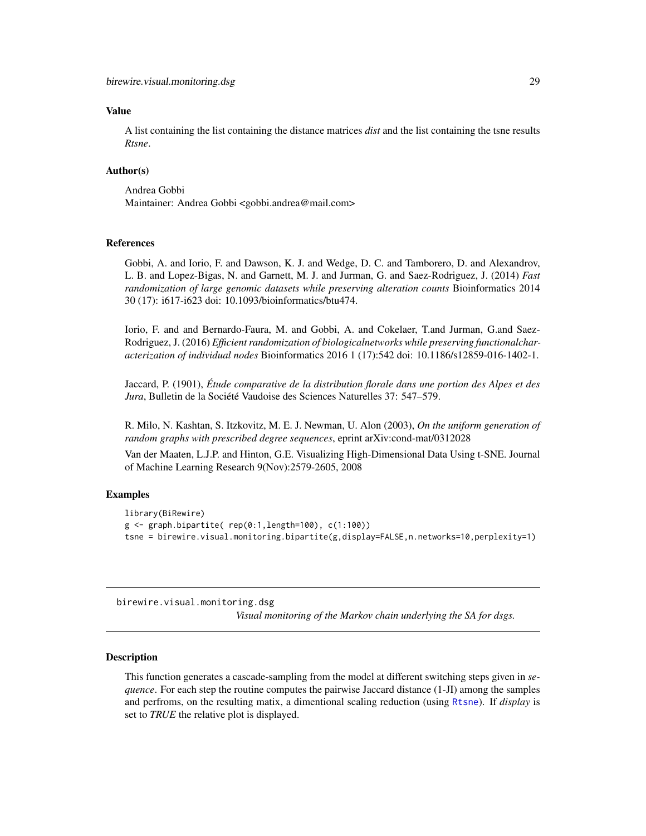#### <span id="page-28-0"></span>Value

A list containing the list containing the distance matrices *dist* and the list containing the tsne results *Rtsne*.

# Author(s)

Andrea Gobbi Maintainer: Andrea Gobbi <gobbi.andrea@mail.com>

# References

Gobbi, A. and Iorio, F. and Dawson, K. J. and Wedge, D. C. and Tamborero, D. and Alexandrov, L. B. and Lopez-Bigas, N. and Garnett, M. J. and Jurman, G. and Saez-Rodriguez, J. (2014) *Fast randomization of large genomic datasets while preserving alteration counts* Bioinformatics 2014 30 (17): i617-i623 doi: 10.1093/bioinformatics/btu474.

Iorio, F. and and Bernardo-Faura, M. and Gobbi, A. and Cokelaer, T.and Jurman, G.and Saez-Rodriguez, J. (2016) *Efficient randomization of biologicalnetworks while preserving functionalcharacterization of individual nodes* Bioinformatics 2016 1 (17):542 doi: 10.1186/s12859-016-1402-1.

Jaccard, P. (1901), *Étude comparative de la distribution florale dans une portion des Alpes et des Jura*, Bulletin de la Société Vaudoise des Sciences Naturelles 37: 547–579.

R. Milo, N. Kashtan, S. Itzkovitz, M. E. J. Newman, U. Alon (2003), *On the uniform generation of random graphs with prescribed degree sequences*, eprint arXiv:cond-mat/0312028

Van der Maaten, L.J.P. and Hinton, G.E. Visualizing High-Dimensional Data Using t-SNE. Journal of Machine Learning Research 9(Nov):2579-2605, 2008

# Examples

```
library(BiRewire)
g \leftarrow graph.bipartite( rep(0:1, length=100), c(1:100))tsne = birewire.visual.monitoring.bipartite(g,display=FALSE,n.networks=10,perplexity=1)
```
birewire.visual.monitoring.dsg

*Visual monitoring of the Markov chain underlying the SA for dsgs.*

#### Description

This function generates a cascade-sampling from the model at different switching steps given in *sequence*. For each step the routine computes the pairwise Jaccard distance (1-JI) among the samples and perfroms, on the resulting matix, a dimentional scaling reduction (using [Rtsne](#page-0-0)). If *display* is set to *TRUE* the relative plot is displayed.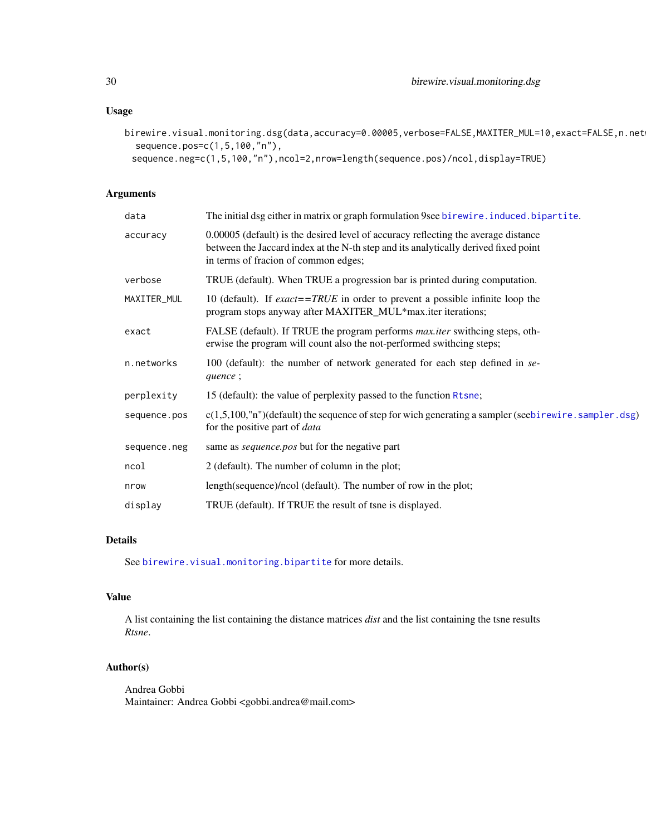# <span id="page-29-0"></span>Usage

birewire.visual.monitoring.dsg(data,accuracy=0.00005,verbose=FALSE,MAXITER\_MUL=10,exact=FALSE,n.net sequence.pos=c(1,5,100,"n"),

sequence.neg=c(1,5,100,"n"),ncol=2,nrow=length(sequence.pos)/ncol,display=TRUE)

# Arguments

| data         | The initial dsg either in matrix or graph formulation 9see birewire. induced. bipartite.                                                                                                                          |
|--------------|-------------------------------------------------------------------------------------------------------------------------------------------------------------------------------------------------------------------|
| accuracy     | 0.00005 (default) is the desired level of accuracy reflecting the average distance<br>between the Jaccard index at the N-th step and its analytically derived fixed point<br>in terms of fracion of common edges; |
| verbose      | TRUE (default). When TRUE a progression bar is printed during computation.                                                                                                                                        |
| MAXITER_MUL  | 10 (default). If exact==TRUE in order to prevent a possible infinite loop the<br>program stops anyway after MAXITER_MUL*max.iter iterations;                                                                      |
| exact        | FALSE (default). If TRUE the program performs <i>max.iter</i> swithcing steps, oth-<br>erwise the program will count also the not-performed swithcing steps;                                                      |
| n.networks   | 100 (default): the number of network generated for each step defined in se-<br>quence;                                                                                                                            |
| perplexity   | 15 (default): the value of perplexity passed to the function Rtsne;                                                                                                                                               |
| sequence.pos | $c(1,5,100,$ "n")(default) the sequence of step for wich generating a sampler (seebirewire. sampler. dsg)<br>for the positive part of <i>data</i>                                                                 |
| sequence.neg | same as <i>sequence.pos</i> but for the negative part                                                                                                                                                             |
| ncol         | 2 (default). The number of column in the plot;                                                                                                                                                                    |
| nrow         | length(sequence)/ncol (default). The number of row in the plot;                                                                                                                                                   |
| display      | TRUE (default). If TRUE the result of tsne is displayed.                                                                                                                                                          |
|              |                                                                                                                                                                                                                   |

# Details

See [birewire.visual.monitoring.bipartite](#page-27-1) for more details.

# Value

A list containing the list containing the distance matrices *dist* and the list containing the tsne results *Rtsne*.

# Author(s)

Andrea Gobbi Maintainer: Andrea Gobbi <gobbi.andrea@mail.com>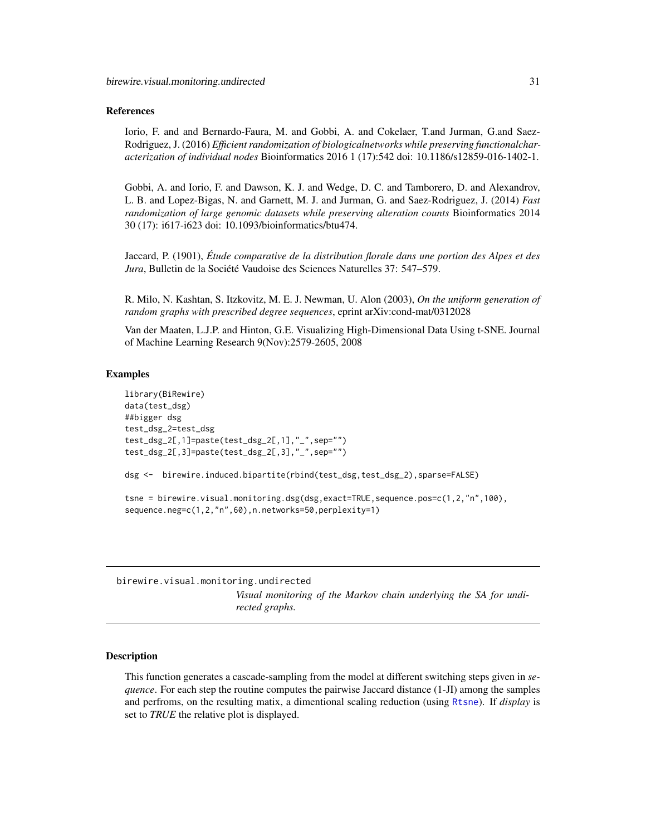#### <span id="page-30-0"></span>References

Iorio, F. and and Bernardo-Faura, M. and Gobbi, A. and Cokelaer, T.and Jurman, G.and Saez-Rodriguez, J. (2016) *Efficient randomization of biologicalnetworks while preserving functionalcharacterization of individual nodes* Bioinformatics 2016 1 (17):542 doi: 10.1186/s12859-016-1402-1.

Gobbi, A. and Iorio, F. and Dawson, K. J. and Wedge, D. C. and Tamborero, D. and Alexandrov, L. B. and Lopez-Bigas, N. and Garnett, M. J. and Jurman, G. and Saez-Rodriguez, J. (2014) *Fast randomization of large genomic datasets while preserving alteration counts* Bioinformatics 2014 30 (17): i617-i623 doi: 10.1093/bioinformatics/btu474.

Jaccard, P. (1901), *Étude comparative de la distribution florale dans une portion des Alpes et des Jura*, Bulletin de la Société Vaudoise des Sciences Naturelles 37: 547–579.

R. Milo, N. Kashtan, S. Itzkovitz, M. E. J. Newman, U. Alon (2003), *On the uniform generation of random graphs with prescribed degree sequences*, eprint arXiv:cond-mat/0312028

Van der Maaten, L.J.P. and Hinton, G.E. Visualizing High-Dimensional Data Using t-SNE. Journal of Machine Learning Research 9(Nov):2579-2605, 2008

#### Examples

```
library(BiRewire)
data(test_dsg)
##bigger dsg
test_dsg_2=test_dsg
test_dsg_2[,1]=paste(test_dsg_2[,1],"_",sep="")
test_dsg_2[,3]=paste(test_dsg_2[,3],"_",sep="")
dsg <- birewire.induced.bipartite(rbind(test_dsg,test_dsg_2),sparse=FALSE)
tsne = birewire.visual.monitoring.dsg(dsg,exact=TRUE,sequence.pos=c(1,2,"n",100),
sequence.neg=c(1,2,"n",60),n.networks=50,perplexity=1)
```
birewire.visual.monitoring.undirected *Visual monitoring of the Markov chain underlying the SA for undirected graphs.*

# Description

This function generates a cascade-sampling from the model at different switching steps given in *sequence*. For each step the routine computes the pairwise Jaccard distance (1-JI) among the samples and perfroms, on the resulting matix, a dimentional scaling reduction (using [Rtsne](#page-0-0)). If *display* is set to *TRUE* the relative plot is displayed.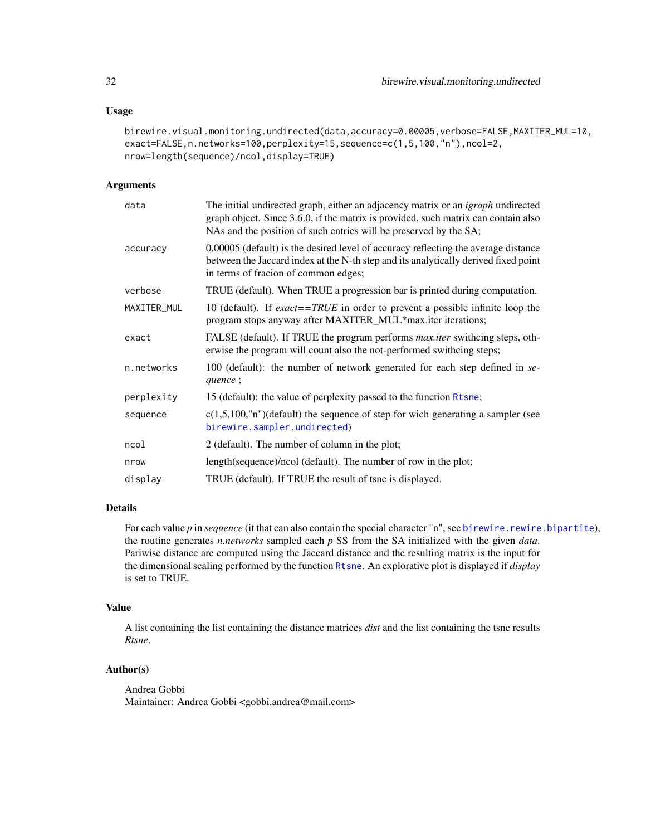#### <span id="page-31-0"></span>Usage

```
birewire.visual.monitoring.undirected(data,accuracy=0.00005,verbose=FALSE,MAXITER_MUL=10,
exact=FALSE,n.networks=100,perplexity=15,sequence=c(1,5,100,"n"),ncol=2,
nrow=length(sequence)/ncol,display=TRUE)
```
# Arguments

| data        | The initial undirected graph, either an adjacency matrix or an <i>igraph</i> undirected<br>graph object. Since 3.6.0, if the matrix is provided, such matrix can contain also<br>NAs and the position of such entries will be preserved by the SA; |
|-------------|----------------------------------------------------------------------------------------------------------------------------------------------------------------------------------------------------------------------------------------------------|
| accuracy    | 0.00005 (default) is the desired level of accuracy reflecting the average distance<br>between the Jaccard index at the N-th step and its analytically derived fixed point<br>in terms of fracion of common edges;                                  |
| verbose     | TRUE (default). When TRUE a progression bar is printed during computation.                                                                                                                                                                         |
| MAXITER_MUL | 10 (default). If $\textit{exact} = \textit{TRUE}$ in order to prevent a possible infinite loop the<br>program stops anyway after MAXITER_MUL*max.iter iterations;                                                                                  |
| exact       | FALSE (default). If TRUE the program performs <i>max.iter</i> swithcing steps, oth-<br>erwise the program will count also the not-performed swithcing steps;                                                                                       |
| n.networks  | 100 (default): the number of network generated for each step defined in se-<br>quence;                                                                                                                                                             |
| perplexity  | 15 (default): the value of perplexity passed to the function Rtsne;                                                                                                                                                                                |
| sequence    | $c(1,5,100, "n")$ (default) the sequence of step for wich generating a sampler (see<br>birewire.sampler.undirected)                                                                                                                                |
| ncol        | 2 (default). The number of column in the plot;                                                                                                                                                                                                     |
| nrow        | length(sequence)/ncol (default). The number of row in the plot;                                                                                                                                                                                    |
| display     | TRUE (default). If TRUE the result of tsne is displayed.                                                                                                                                                                                           |

# Details

For each value *p* in *sequence* (it that can also contain the special character "n", see [birewire.rewire.bipartite](#page-12-1)), the routine generates *n.networks* sampled each *p* SS from the SA initialized with the given *data*. Pariwise distance are computed using the Jaccard distance and the resulting matrix is the input for the dimensional scaling performed by the function [Rtsne](#page-0-0). An explorative plot is displayed if *display* is set to TRUE.

#### Value

A list containing the list containing the distance matrices *dist* and the list containing the tsne results *Rtsne*.

# Author(s)

Andrea Gobbi Maintainer: Andrea Gobbi <gobbi.andrea@mail.com>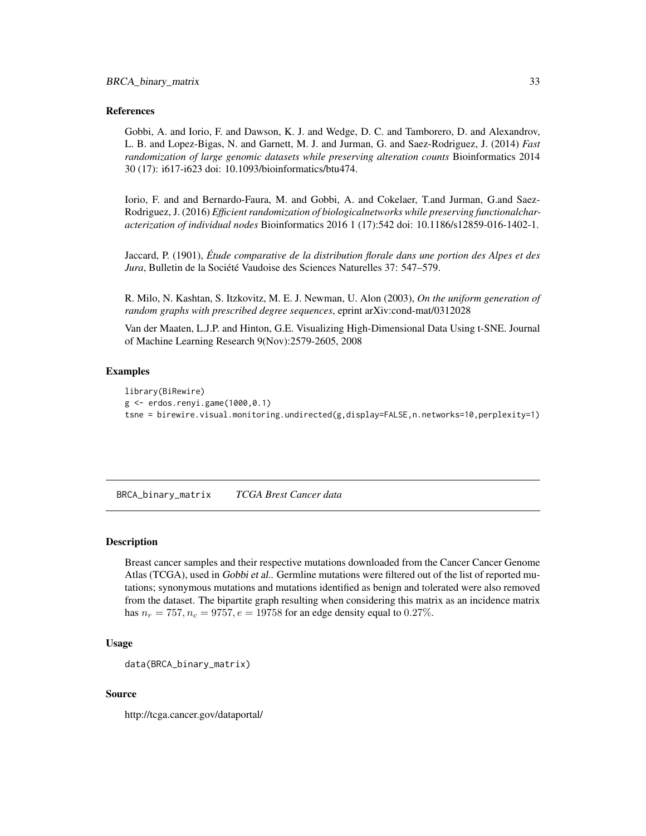#### <span id="page-32-0"></span>References

Gobbi, A. and Iorio, F. and Dawson, K. J. and Wedge, D. C. and Tamborero, D. and Alexandrov, L. B. and Lopez-Bigas, N. and Garnett, M. J. and Jurman, G. and Saez-Rodriguez, J. (2014) *Fast randomization of large genomic datasets while preserving alteration counts* Bioinformatics 2014 30 (17): i617-i623 doi: 10.1093/bioinformatics/btu474.

Iorio, F. and and Bernardo-Faura, M. and Gobbi, A. and Cokelaer, T.and Jurman, G.and Saez-Rodriguez, J. (2016) *Efficient randomization of biologicalnetworks while preserving functionalcharacterization of individual nodes* Bioinformatics 2016 1 (17):542 doi: 10.1186/s12859-016-1402-1.

Jaccard, P. (1901), *Étude comparative de la distribution florale dans une portion des Alpes et des Jura*, Bulletin de la Société Vaudoise des Sciences Naturelles 37: 547–579.

R. Milo, N. Kashtan, S. Itzkovitz, M. E. J. Newman, U. Alon (2003), *On the uniform generation of random graphs with prescribed degree sequences*, eprint arXiv:cond-mat/0312028

Van der Maaten, L.J.P. and Hinton, G.E. Visualizing High-Dimensional Data Using t-SNE. Journal of Machine Learning Research 9(Nov):2579-2605, 2008

#### Examples

```
library(BiRewire)
g <- erdos.renyi.game(1000,0.1)
tsne = birewire.visual.monitoring.undirected(g,display=FALSE,n.networks=10,perplexity=1)
```
BRCA\_binary\_matrix *TCGA Brest Cancer data*

#### Description

Breast cancer samples and their respective mutations downloaded from the Cancer Cancer Genome Atlas (TCGA), used in Gobbi et al.. Germline mutations were filtered out of the list of reported mutations; synonymous mutations and mutations identified as benign and tolerated were also removed from the dataset. The bipartite graph resulting when considering this matrix as an incidence matrix has  $n_r = 757$ ,  $n_c = 9757$ ,  $e = 19758$  for an edge density equal to 0.27%.

# Usage

```
data(BRCA_binary_matrix)
```
#### Source

http://tcga.cancer.gov/dataportal/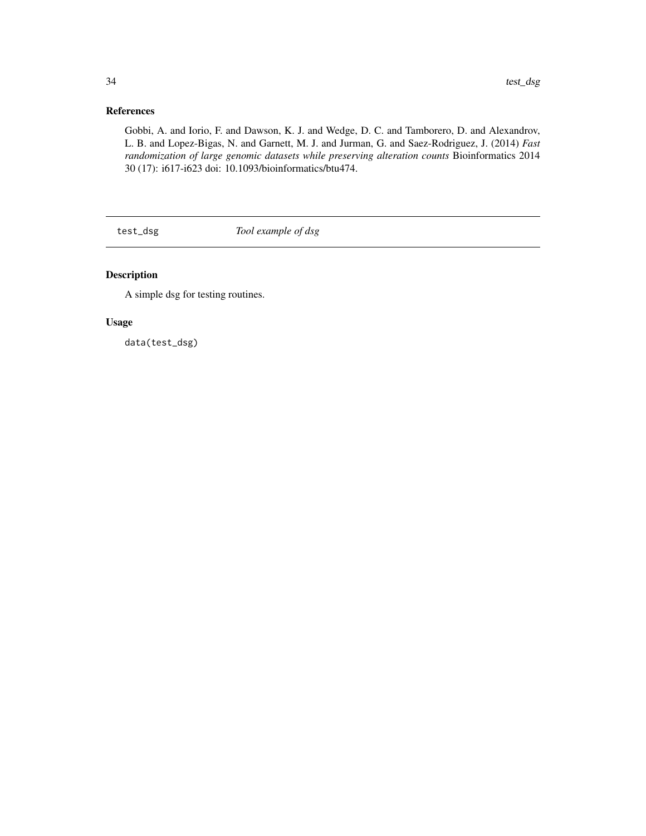# <span id="page-33-0"></span>References

Gobbi, A. and Iorio, F. and Dawson, K. J. and Wedge, D. C. and Tamborero, D. and Alexandrov, L. B. and Lopez-Bigas, N. and Garnett, M. J. and Jurman, G. and Saez-Rodriguez, J. (2014) *Fast randomization of large genomic datasets while preserving alteration counts* Bioinformatics 2014 30 (17): i617-i623 doi: 10.1093/bioinformatics/btu474.

test\_dsg *Tool example of dsg*

# Description

A simple dsg for testing routines.

# Usage

data(test\_dsg)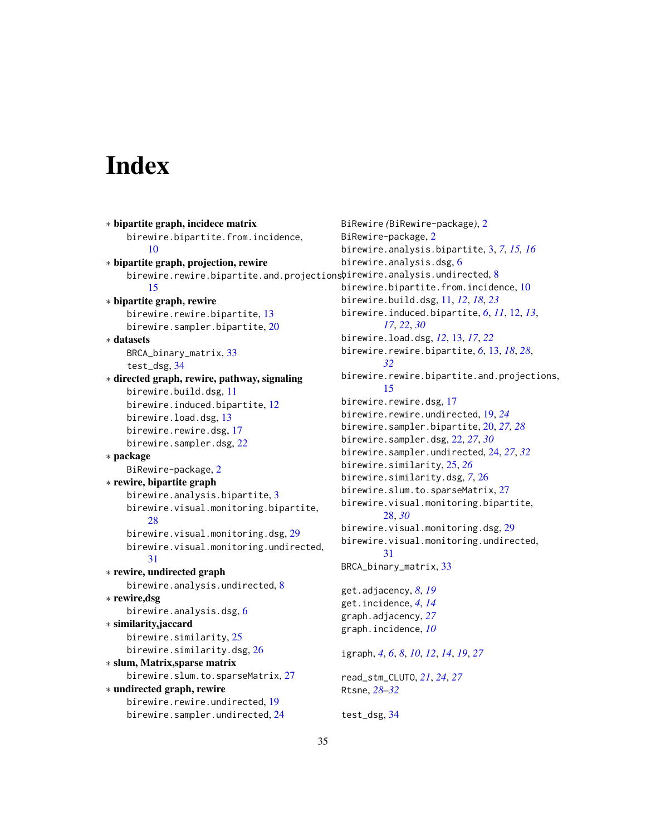# <span id="page-34-0"></span>**Index**

∗ bipartite graph, incidece matrix birewire.bipartite.from.incidence, [10](#page-9-0) ∗ bipartite graph, projection, rewire birewire.rewire.bipartite.and.projections $\mathfrak h$ irewire.analysis.undirected, $8$ [15](#page-14-0) ∗ bipartite graph, rewire birewire.rewire.bipartite, [13](#page-12-0) birewire.sampler.bipartite, [20](#page-19-0) ∗ datasets BRCA\_binary\_matrix, [33](#page-32-0) test\_dsg, [34](#page-33-0) ∗ directed graph, rewire, pathway, signaling birewire.build.dsg, [11](#page-10-0) birewire.induced.bipartite, [12](#page-11-0) birewire.load.dsg, [13](#page-12-0) birewire.rewire.dsg, [17](#page-16-0) birewire.sampler.dsg, [22](#page-21-0) ∗ package BiRewire-package, [2](#page-1-0) ∗ rewire, bipartite graph birewire.analysis.bipartite, [3](#page-2-0) birewire.visual.monitoring.bipartite, [28](#page-27-0) birewire.visual.monitoring.dsg, [29](#page-28-0) birewire.visual.monitoring.undirected, [31](#page-30-0) ∗ rewire, undirected graph birewire.analysis.undirected, [8](#page-7-0) ∗ rewire,dsg birewire.analysis.dsg, [6](#page-5-0) ∗ similarity,jaccard birewire.similarity, [25](#page-24-0) birewire.similarity.dsg, [26](#page-25-0) ∗ slum, Matrix,sparse matrix birewire.slum.to.sparseMatrix, [27](#page-26-0) ∗ undirected graph, rewire birewire.rewire.undirected, [19](#page-18-0) birewire.sampler.undirected, [24](#page-23-0)

BiRewire *(*BiRewire-package*)*, [2](#page-1-0) BiRewire-package, [2](#page-1-0) birewire.analysis.bipartite, [3,](#page-2-0) *[7](#page-6-0)*, *[15,](#page-14-0) [16](#page-15-0)* birewire.analysis.dsg, [6](#page-5-0) birewire.bipartite.from.incidence, [10](#page-9-0) birewire.build.dsg, [11,](#page-10-0) *[12](#page-11-0)*, *[18](#page-17-0)*, *[23](#page-22-0)* birewire.induced.bipartite, *[6](#page-5-0)*, *[11](#page-10-0)*, [12,](#page-11-0) *[13](#page-12-0)*, *[17](#page-16-0)*, *[22](#page-21-0)*, *[30](#page-29-0)* birewire.load.dsg, *[12](#page-11-0)*, [13,](#page-12-0) *[17](#page-16-0)*, *[22](#page-21-0)* birewire.rewire.bipartite, *[6](#page-5-0)*, [13,](#page-12-0) *[18](#page-17-0)*, *[28](#page-27-0)*, *[32](#page-31-0)* birewire.rewire.bipartite.and.projections, [15](#page-14-0) birewire.rewire.dsg, [17](#page-16-0) birewire.rewire.undirected, [19,](#page-18-0) *[24](#page-23-0)* birewire.sampler.bipartite, [20,](#page-19-0) *[27,](#page-26-0) [28](#page-27-0)* birewire.sampler.dsg, [22,](#page-21-0) *[27](#page-26-0)*, *[30](#page-29-0)* birewire.sampler.undirected, [24,](#page-23-0) *[27](#page-26-0)*, *[32](#page-31-0)* birewire.similarity, [25,](#page-24-0) *[26](#page-25-0)* birewire.similarity.dsg, *[7](#page-6-0)*, [26](#page-25-0) birewire.slum.to.sparseMatrix, [27](#page-26-0) birewire.visual.monitoring.bipartite, [28,](#page-27-0) *[30](#page-29-0)* birewire.visual.monitoring.dsg, [29](#page-28-0) birewire.visual.monitoring.undirected, [31](#page-30-0) BRCA\_binary\_matrix, [33](#page-32-0) get.adjacency, *[8](#page-7-0)*, *[19](#page-18-0)* get.incidence, *[4](#page-3-0)*, *[14](#page-13-0)* graph.adjacency, *[27](#page-26-0)* graph.incidence, *[10](#page-9-0)* igraph, *[4](#page-3-0)*, *[6](#page-5-0)*, *[8](#page-7-0)*, *[10](#page-9-0)*, *[12](#page-11-0)*, *[14](#page-13-0)*, *[19](#page-18-0)*, *[27](#page-26-0)* read\_stm\_CLUTO, *[21](#page-20-0)*, *[24](#page-23-0)*, *[27](#page-26-0)* Rtsne, *[28](#page-27-0)[–32](#page-31-0)* test\_dsg, [34](#page-33-0)